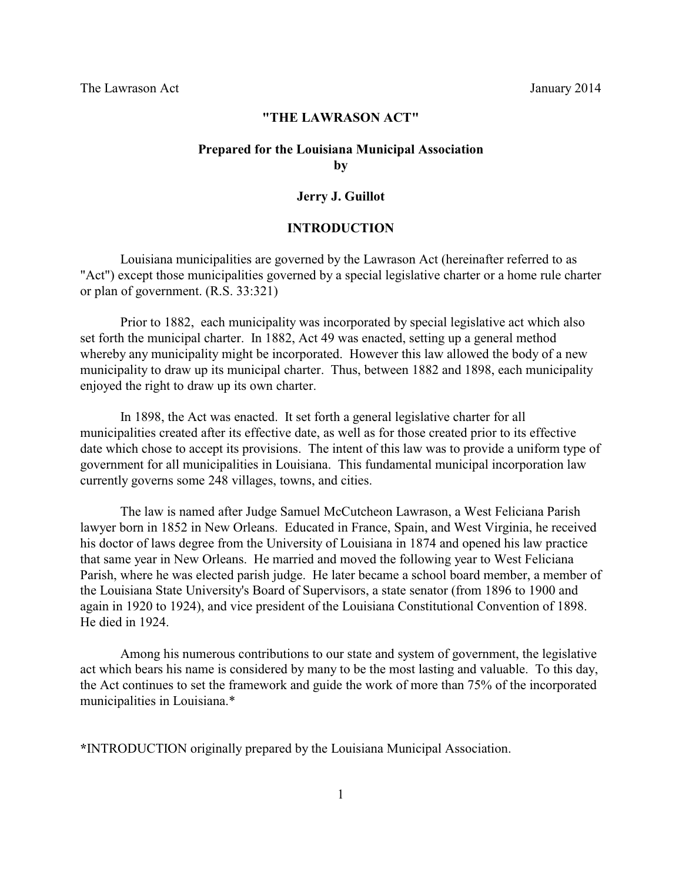### **"THE LAWRASON ACT"**

# **Prepared for the Louisiana Municipal Association by**

#### **Jerry J. Guillot**

# **INTRODUCTION**

Louisiana municipalities are governed by the Lawrason Act (hereinafter referred to as "Act") except those municipalities governed by a special legislative charter or a home rule charter or plan of government. (R.S. 33:321)

Prior to 1882, each municipality was incorporated by special legislative act which also set forth the municipal charter. In 1882, Act 49 was enacted, setting up a general method whereby any municipality might be incorporated. However this law allowed the body of a new municipality to draw up its municipal charter. Thus, between 1882 and 1898, each municipality enjoyed the right to draw up its own charter.

In 1898, the Act was enacted. It set forth a general legislative charter for all municipalities created after its effective date, as well as for those created prior to its effective date which chose to accept its provisions. The intent of this law was to provide a uniform type of government for all municipalities in Louisiana. This fundamental municipal incorporation law currently governs some 248 villages, towns, and cities.

The law is named after Judge Samuel McCutcheon Lawrason, a West Feliciana Parish lawyer born in 1852 in New Orleans. Educated in France, Spain, and West Virginia, he received his doctor of laws degree from the University of Louisiana in 1874 and opened his law practice that same year in New Orleans. He married and moved the following year to West Feliciana Parish, where he was elected parish judge. He later became a school board member, a member of the Louisiana State University's Board of Supervisors, a state senator (from 1896 to 1900 and again in 1920 to 1924), and vice president of the Louisiana Constitutional Convention of 1898. He died in 1924.

Among his numerous contributions to our state and system of government, the legislative act which bears his name is considered by many to be the most lasting and valuable. To this day, the Act continues to set the framework and guide the work of more than 75% of the incorporated municipalities in Louisiana.\*

**\***INTRODUCTION originally prepared by the Louisiana Municipal Association.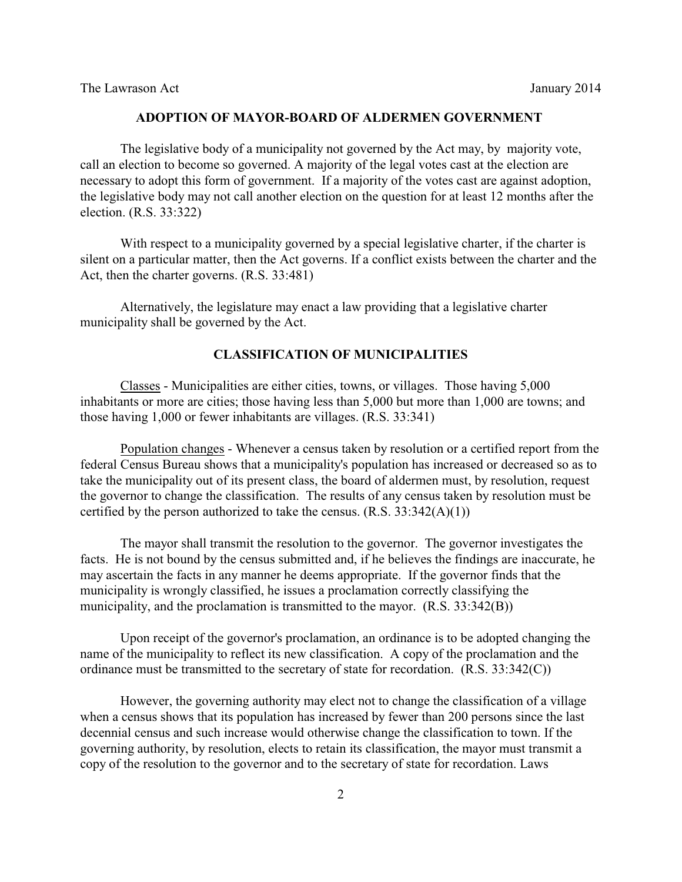### **ADOPTION OF MAYOR-BOARD OF ALDERMEN GOVERNMENT**

The legislative body of a municipality not governed by the Act may, by majority vote, call an election to become so governed. A majority of the legal votes cast at the election are necessary to adopt this form of government. If a majority of the votes cast are against adoption, the legislative body may not call another election on the question for at least 12 months after the election. (R.S. 33:322)

With respect to a municipality governed by a special legislative charter, if the charter is silent on a particular matter, then the Act governs. If a conflict exists between the charter and the Act, then the charter governs. (R.S. 33:481)

Alternatively, the legislature may enact a law providing that a legislative charter municipality shall be governed by the Act.

### **CLASSIFICATION OF MUNICIPALITIES**

Classes - Municipalities are either cities, towns, or villages. Those having 5,000 inhabitants or more are cities; those having less than 5,000 but more than 1,000 are towns; and those having 1,000 or fewer inhabitants are villages. (R.S. 33:341)

Population changes - Whenever a census taken by resolution or a certified report from the federal Census Bureau shows that a municipality's population has increased or decreased so as to take the municipality out of its present class, the board of aldermen must, by resolution, request the governor to change the classification. The results of any census taken by resolution must be certified by the person authorized to take the census.  $(R.S. 33:342(A)(1))$ 

The mayor shall transmit the resolution to the governor. The governor investigates the facts. He is not bound by the census submitted and, if he believes the findings are inaccurate, he may ascertain the facts in any manner he deems appropriate. If the governor finds that the municipality is wrongly classified, he issues a proclamation correctly classifying the municipality, and the proclamation is transmitted to the mayor. (R.S. 33:342(B))

Upon receipt of the governor's proclamation, an ordinance is to be adopted changing the name of the municipality to reflect its new classification. A copy of the proclamation and the ordinance must be transmitted to the secretary of state for recordation. (R.S. 33:342(C))

However, the governing authority may elect not to change the classification of a village when a census shows that its population has increased by fewer than 200 persons since the last decennial census and such increase would otherwise change the classification to town. If the governing authority, by resolution, elects to retain its classification, the mayor must transmit a copy of the resolution to the governor and to the secretary of state for recordation. Laws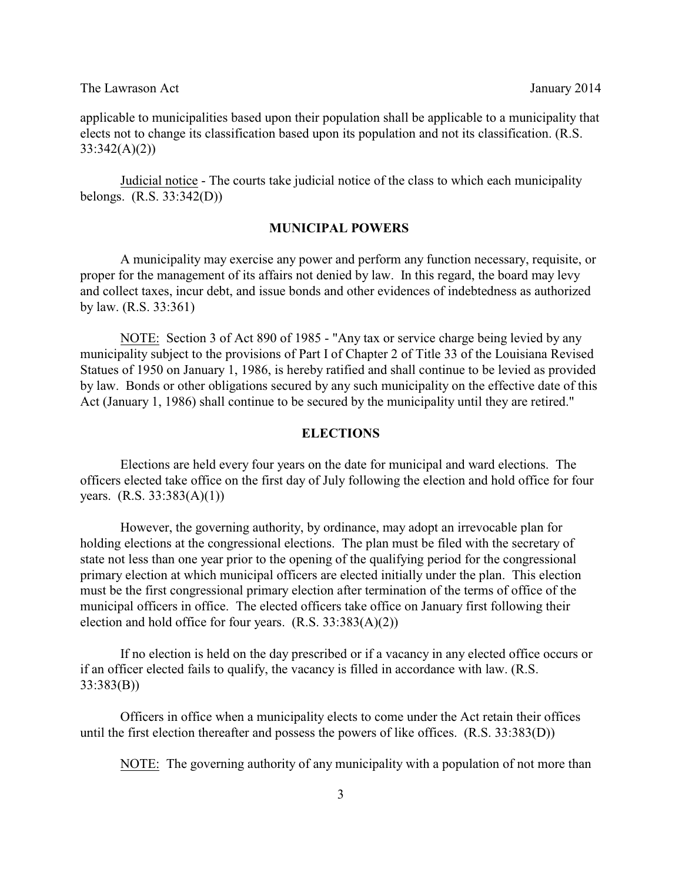applicable to municipalities based upon their population shall be applicable to a municipality that elects not to change its classification based upon its population and not its classification. (R.S. 33:342(A)(2))

Judicial notice - The courts take judicial notice of the class to which each municipality belongs. (R.S. 33:342(D))

#### **MUNICIPAL POWERS**

A municipality may exercise any power and perform any function necessary, requisite, or proper for the management of its affairs not denied by law. In this regard, the board may levy and collect taxes, incur debt, and issue bonds and other evidences of indebtedness as authorized by law. (R.S. 33:361)

NOTE: Section 3 of Act 890 of 1985 - "Any tax or service charge being levied by any municipality subject to the provisions of Part I of Chapter 2 of Title 33 of the Louisiana Revised Statues of 1950 on January 1, 1986, is hereby ratified and shall continue to be levied as provided by law. Bonds or other obligations secured by any such municipality on the effective date of this Act (January 1, 1986) shall continue to be secured by the municipality until they are retired."

#### **ELECTIONS**

Elections are held every four years on the date for municipal and ward elections. The officers elected take office on the first day of July following the election and hold office for four years. (R.S. 33:383(A)(1))

However, the governing authority, by ordinance, may adopt an irrevocable plan for holding elections at the congressional elections. The plan must be filed with the secretary of state not less than one year prior to the opening of the qualifying period for the congressional primary election at which municipal officers are elected initially under the plan. This election must be the first congressional primary election after termination of the terms of office of the municipal officers in office. The elected officers take office on January first following their election and hold office for four years.  $(R.S. 33:383(A)(2))$ 

If no election is held on the day prescribed or if a vacancy in any elected office occurs or if an officer elected fails to qualify, the vacancy is filled in accordance with law. (R.S. 33:383(B))

Officers in office when a municipality elects to come under the Act retain their offices until the first election thereafter and possess the powers of like offices. (R.S. 33:383(D))

NOTE: The governing authority of any municipality with a population of not more than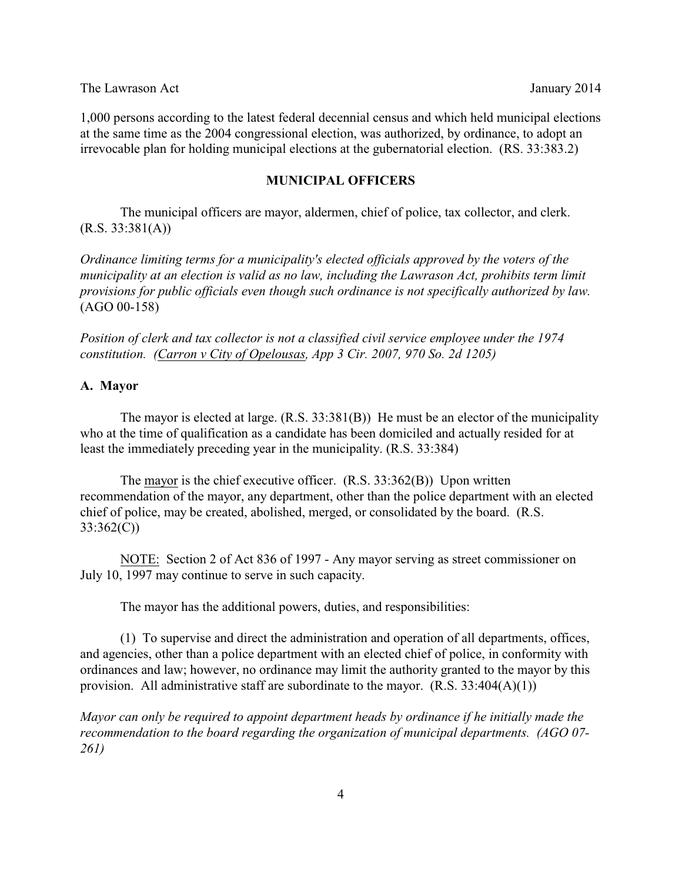1,000 persons according to the latest federal decennial census and which held municipal elections at the same time as the 2004 congressional election, was authorized, by ordinance, to adopt an irrevocable plan for holding municipal elections at the gubernatorial election. (RS. 33:383.2)

### **MUNICIPAL OFFICERS**

The municipal officers are mayor, aldermen, chief of police, tax collector, and clerk.  $(R.S. 33:381(A))$ 

*Ordinance limiting terms for a municipality's elected officials approved by the voters of the municipality at an election is valid as no law, including the Lawrason Act, prohibits term limit provisions for public officials even though such ordinance is not specifically authorized by law.* (AGO 00-158)

*Position of clerk and tax collector is not a classified civil service employee under the 1974 constitution. (Carron v City of Opelousas, App 3 Cir. 2007, 970 So. 2d 1205)*

### **A. Mayor**

The mayor is elected at large. (R.S. 33:381(B)) He must be an elector of the municipality who at the time of qualification as a candidate has been domiciled and actually resided for at least the immediately preceding year in the municipality. (R.S. 33:384)

The mayor is the chief executive officer. (R.S. 33:362(B)) Upon written recommendation of the mayor, any department, other than the police department with an elected chief of police, may be created, abolished, merged, or consolidated by the board. (R.S. 33:362(C))

NOTE: Section 2 of Act 836 of 1997 - Any mayor serving as street commissioner on July 10, 1997 may continue to serve in such capacity.

The mayor has the additional powers, duties, and responsibilities:

(1) To supervise and direct the administration and operation of all departments, offices, and agencies, other than a police department with an elected chief of police, in conformity with ordinances and law; however, no ordinance may limit the authority granted to the mayor by this provision. All administrative staff are subordinate to the mayor.  $(R.S. 33:404(A)(1))$ 

*Mayor can only be required to appoint department heads by ordinance if he initially made the recommendation to the board regarding the organization of municipal departments. (AGO 07- 261)*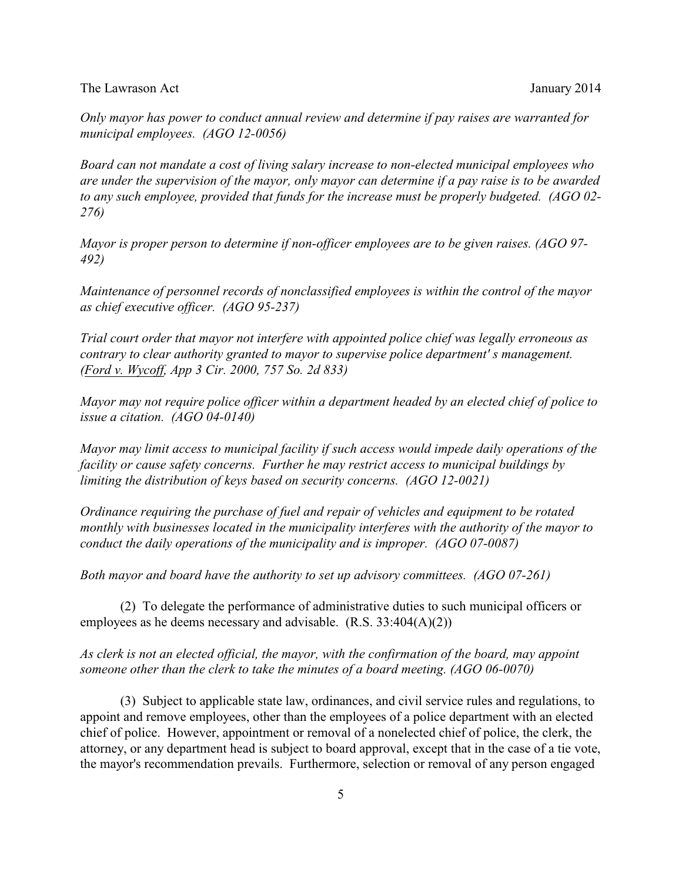*Only mayor has power to conduct annual review and determine if pay raises are warranted for municipal employees. (AGO 12-0056)*

*Board can not mandate a cost of living salary increase to non-elected municipal employees who are under the supervision of the mayor, only mayor can determine if a pay raise is to be awarded to any such employee, provided that funds for the increase must be properly budgeted. (AGO 02- 276)* 

*Mayor is proper person to determine if non-officer employees are to be given raises. (AGO 97- 492)*

*Maintenance of personnel records of nonclassified employees is within the control of the mayor as chief executive officer. (AGO 95-237)* 

*Trial court order that mayor not interfere with appointed police chief was legally erroneous as contrary to clear authority granted to mayor to supervise police department' s management. (Ford v. Wycoff, App 3 Cir. 2000, 757 So. 2d 833)* 

*Mayor may not require police officer within a department headed by an elected chief of police to issue a citation. (AGO 04-0140)* 

*Mayor may limit access to municipal facility if such access would impede daily operations of the facility or cause safety concerns. Further he may restrict access to municipal buildings by limiting the distribution of keys based on security concerns. (AGO 12-0021)*

*Ordinance requiring the purchase of fuel and repair of vehicles and equipment to be rotated monthly with businesses located in the municipality interferes with the authority of the mayor to conduct the daily operations of the municipality and is improper. (AGO 07-0087)* 

*Both mayor and board have the authority to set up advisory committees. (AGO 07-261)*

(2) To delegate the performance of administrative duties to such municipal officers or employees as he deems necessary and advisable. (R.S. 33:404(A)(2))

*As clerk is not an elected official, the mayor, with the confirmation of the board, may appoint someone other than the clerk to take the minutes of a board meeting. (AGO 06-0070)*

(3) Subject to applicable state law, ordinances, and civil service rules and regulations, to appoint and remove employees, other than the employees of a police department with an elected chief of police. However, appointment or removal of a nonelected chief of police, the clerk, the attorney, or any department head is subject to board approval, except that in the case of a tie vote, the mayor's recommendation prevails. Furthermore, selection or removal of any person engaged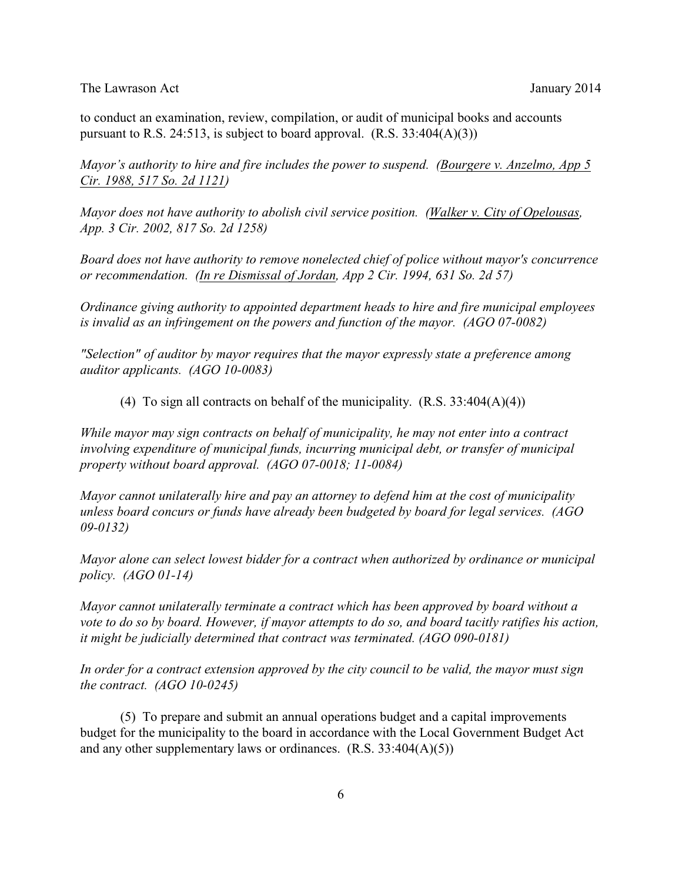to conduct an examination, review, compilation, or audit of municipal books and accounts pursuant to R.S. 24:513, is subject to board approval.  $(R.S. 33:404(A)(3))$ 

*Mayor's authority to hire and fire includes the power to suspend. (Bourgere v. Anzelmo, App 5 Cir. 1988, 517 So. 2d 1121)* 

*Mayor does not have authority to abolish civil service position. (Walker v. City of Opelousas, App. 3 Cir. 2002, 817 So. 2d 1258)* 

*Board does not have authority to remove nonelected chief of police without mayor's concurrence or recommendation. (In re Dismissal of Jordan, App 2 Cir. 1994, 631 So. 2d 57)*

*Ordinance giving authority to appointed department heads to hire and fire municipal employees is invalid as an infringement on the powers and function of the mayor. (AGO 07-0082)*

*"Selection" of auditor by mayor requires that the mayor expressly state a preference among auditor applicants. (AGO 10-0083)*

(4) To sign all contracts on behalf of the municipality.  $(R.S. 33:404(A)(4))$ 

*While mayor may sign contracts on behalf of municipality, he may not enter into a contract involving expenditure of municipal funds, incurring municipal debt, or transfer of municipal property without board approval. (AGO 07-0018; 11-0084)* 

*Mayor cannot unilaterally hire and pay an attorney to defend him at the cost of municipality unless board concurs or funds have already been budgeted by board for legal services. (AGO 09-0132)* 

*Mayor alone can select lowest bidder for a contract when authorized by ordinance or municipal policy. (AGO 01-14)* 

*Mayor cannot unilaterally terminate a contract which has been approved by board without a vote to do so by board. However, if mayor attempts to do so, and board tacitly ratifies his action, it might be judicially determined that contract was terminated. (AGO 090-0181)*

*In order for a contract extension approved by the city council to be valid, the mayor must sign the contract. (AGO 10-0245)*

(5) To prepare and submit an annual operations budget and a capital improvements budget for the municipality to the board in accordance with the Local Government Budget Act and any other supplementary laws or ordinances.  $(R.S. 33:404(A)(5))$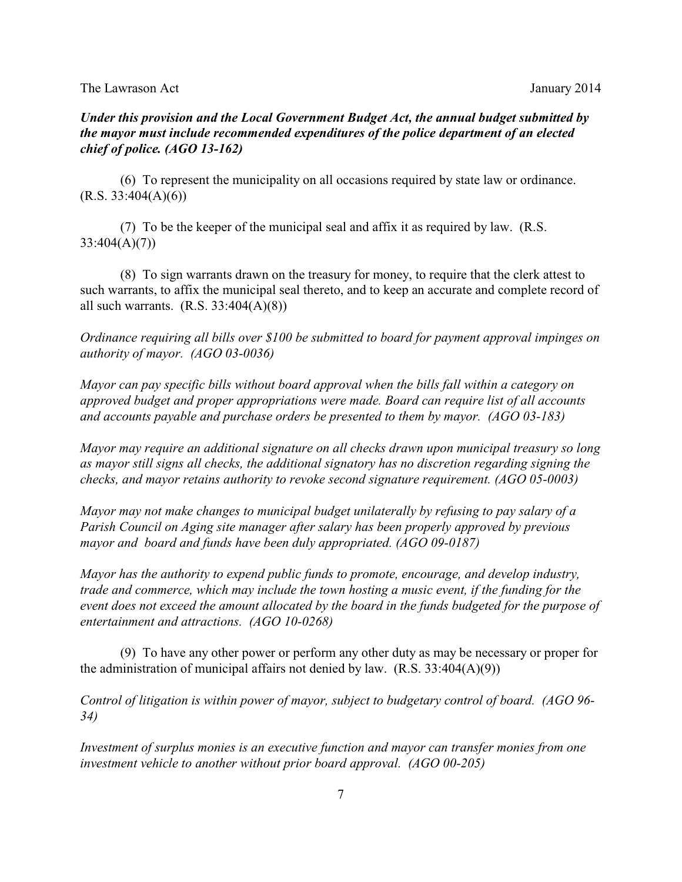# *Under this provision and the Local Government Budget Act, the annual budget submitted by the mayor must include recommended expenditures of the police department of an elected chief of police. (AGO 13-162)*

(6) To represent the municipality on all occasions required by state law or ordinance.  $(R.S. 33:404(A)(6))$ 

(7) To be the keeper of the municipal seal and affix it as required by law. (R.S. 33:404(A)(7))

(8) To sign warrants drawn on the treasury for money, to require that the clerk attest to such warrants, to affix the municipal seal thereto, and to keep an accurate and complete record of all such warrants.  $(R.S. 33:404(A)(8))$ 

*Ordinance requiring all bills over \$100 be submitted to board for payment approval impinges on authority of mayor. (AGO 03-0036)* 

*Mayor can pay specific bills without board approval when the bills fall within a category on approved budget and proper appropriations were made. Board can require list of all accounts and accounts payable and purchase orders be presented to them by mayor. (AGO 03-183)*

*Mayor may require an additional signature on all checks drawn upon municipal treasury so long as mayor still signs all checks, the additional signatory has no discretion regarding signing the checks, and mayor retains authority to revoke second signature requirement. (AGO 05-0003)* 

*Mayor may not make changes to municipal budget unilaterally by refusing to pay salary of a Parish Council on Aging site manager after salary has been properly approved by previous mayor and board and funds have been duly appropriated. (AGO 09-0187)*

*Mayor has the authority to expend public funds to promote, encourage, and develop industry, trade and commerce, which may include the town hosting a music event, if the funding for the event does not exceed the amount allocated by the board in the funds budgeted for the purpose of entertainment and attractions. (AGO 10-0268)*

(9) To have any other power or perform any other duty as may be necessary or proper for the administration of municipal affairs not denied by law.  $(R.S. 33:404(A)(9))$ 

*Control of litigation is within power of mayor, subject to budgetary control of board. (AGO 96- 34)*

*Investment of surplus monies is an executive function and mayor can transfer monies from one investment vehicle to another without prior board approval. (AGO 00-205)*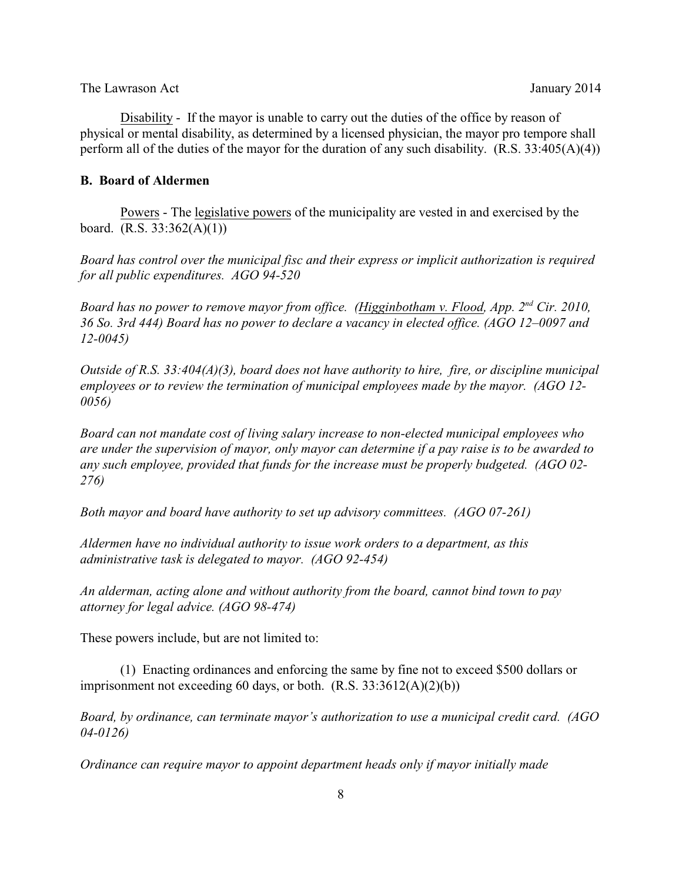Disability - If the mayor is unable to carry out the duties of the office by reason of physical or mental disability, as determined by a licensed physician, the mayor pro tempore shall perform all of the duties of the mayor for the duration of any such disability. (R.S. 33:405(A)(4))

# **B. Board of Aldermen**

Powers - The legislative powers of the municipality are vested in and exercised by the board. (R.S. 33:362(A)(1))

*Board has control over the municipal fisc and their express or implicit authorization is required for all public expenditures. AGO 94-520*

*Board has no power to remove mayor from office. (Higginbotham v. Flood, App. 2<sup>nd</sup> Cir. 2010, 36 So. 3rd 444) Board has no power to declare a vacancy in elected office. (AGO 12–0097 and 12-0045)*

*Outside of R.S. 33:404(A)(3), board does not have authority to hire, fire, or discipline municipal employees or to review the termination of municipal employees made by the mayor. (AGO 12- 0056)*

*Board can not mandate cost of living salary increase to non-elected municipal employees who are under the supervision of mayor, only mayor can determine if a pay raise is to be awarded to any such employee, provided that funds for the increase must be properly budgeted. (AGO 02- 276)*

*Both mayor and board have authority to set up advisory committees. (AGO 07-261)*

*Aldermen have no individual authority to issue work orders to a department, as this administrative task is delegated to mayor. (AGO 92-454)* 

*An alderman, acting alone and without authority from the board, cannot bind town to pay attorney for legal advice. (AGO 98-474)*

These powers include, but are not limited to:

(1) Enacting ordinances and enforcing the same by fine not to exceed \$500 dollars or imprisonment not exceeding 60 days, or both.  $(R.S. 33:3612(A)(2)(b))$ 

*Board, by ordinance, can terminate mayor's authorization to use a municipal credit card. (AGO 04-0126)* 

*Ordinance can require mayor to appoint department heads only if mayor initially made*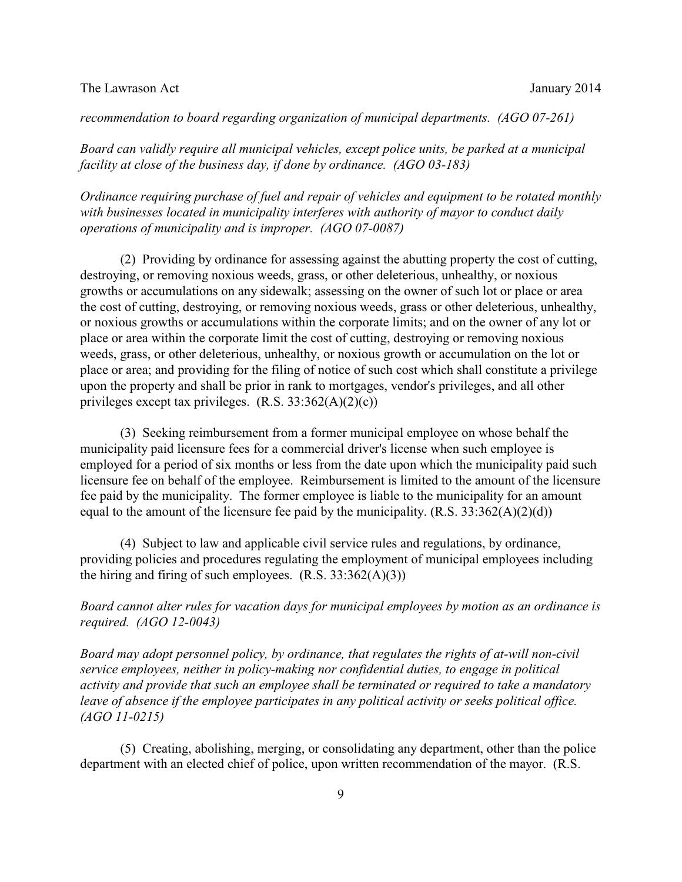### *recommendation to board regarding organization of municipal departments. (AGO 07-261)*

*Board can validly require all municipal vehicles, except police units, be parked at a municipal facility at close of the business day, if done by ordinance. (AGO 03-183)* 

*Ordinance requiring purchase of fuel and repair of vehicles and equipment to be rotated monthly with businesses located in municipality interferes with authority of mayor to conduct daily operations of municipality and is improper. (AGO 07-0087)* 

(2) Providing by ordinance for assessing against the abutting property the cost of cutting, destroying, or removing noxious weeds, grass, or other deleterious, unhealthy, or noxious growths or accumulations on any sidewalk; assessing on the owner of such lot or place or area the cost of cutting, destroying, or removing noxious weeds, grass or other deleterious, unhealthy, or noxious growths or accumulations within the corporate limits; and on the owner of any lot or place or area within the corporate limit the cost of cutting, destroying or removing noxious weeds, grass, or other deleterious, unhealthy, or noxious growth or accumulation on the lot or place or area; and providing for the filing of notice of such cost which shall constitute a privilege upon the property and shall be prior in rank to mortgages, vendor's privileges, and all other privileges except tax privileges. (R.S. 33:362(A)(2)(c))

(3) Seeking reimbursement from a former municipal employee on whose behalf the municipality paid licensure fees for a commercial driver's license when such employee is employed for a period of six months or less from the date upon which the municipality paid such licensure fee on behalf of the employee. Reimbursement is limited to the amount of the licensure fee paid by the municipality. The former employee is liable to the municipality for an amount equal to the amount of the licensure fee paid by the municipality.  $(R.S. 33:362(A)(2)(d))$ 

(4) Subject to law and applicable civil service rules and regulations, by ordinance, providing policies and procedures regulating the employment of municipal employees including the hiring and firing of such employees.  $(R.S. 33:362(A)(3))$ 

*Board cannot alter rules for vacation days for municipal employees by motion as an ordinance is required. (AGO 12-0043)*

*Board may adopt personnel policy, by ordinance, that regulates the rights of at-will non-civil service employees, neither in policy-making nor confidential duties, to engage in political activity and provide that such an employee shall be terminated or required to take a mandatory leave of absence if the employee participates in any political activity or seeks political office. (AGO 11-0215)*

(5) Creating, abolishing, merging, or consolidating any department, other than the police department with an elected chief of police, upon written recommendation of the mayor. (R.S.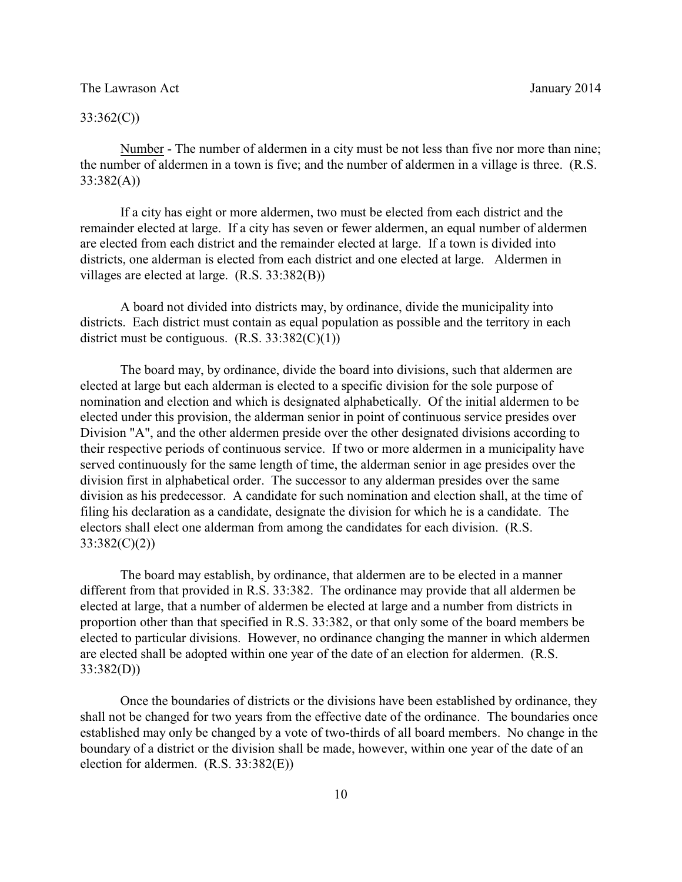### 33:362(C))

Number - The number of aldermen in a city must be not less than five nor more than nine; the number of aldermen in a town is five; and the number of aldermen in a village is three. (R.S. 33:382(A))

If a city has eight or more aldermen, two must be elected from each district and the remainder elected at large. If a city has seven or fewer aldermen, an equal number of aldermen are elected from each district and the remainder elected at large. If a town is divided into districts, one alderman is elected from each district and one elected at large. Aldermen in villages are elected at large. (R.S. 33:382(B))

A board not divided into districts may, by ordinance, divide the municipality into districts. Each district must contain as equal population as possible and the territory in each district must be contiguous.  $(R.S. 33:382(C)(1))$ 

The board may, by ordinance, divide the board into divisions, such that aldermen are elected at large but each alderman is elected to a specific division for the sole purpose of nomination and election and which is designated alphabetically. Of the initial aldermen to be elected under this provision, the alderman senior in point of continuous service presides over Division "A", and the other aldermen preside over the other designated divisions according to their respective periods of continuous service. If two or more aldermen in a municipality have served continuously for the same length of time, the alderman senior in age presides over the division first in alphabetical order. The successor to any alderman presides over the same division as his predecessor. A candidate for such nomination and election shall, at the time of filing his declaration as a candidate, designate the division for which he is a candidate. The electors shall elect one alderman from among the candidates for each division. (R.S. 33:382(C)(2))

The board may establish, by ordinance, that aldermen are to be elected in a manner different from that provided in R.S. 33:382. The ordinance may provide that all aldermen be elected at large, that a number of aldermen be elected at large and a number from districts in proportion other than that specified in R.S. 33:382, or that only some of the board members be elected to particular divisions. However, no ordinance changing the manner in which aldermen are elected shall be adopted within one year of the date of an election for aldermen. (R.S. 33:382(D))

Once the boundaries of districts or the divisions have been established by ordinance, they shall not be changed for two years from the effective date of the ordinance. The boundaries once established may only be changed by a vote of two-thirds of all board members. No change in the boundary of a district or the division shall be made, however, within one year of the date of an election for aldermen. (R.S. 33:382(E))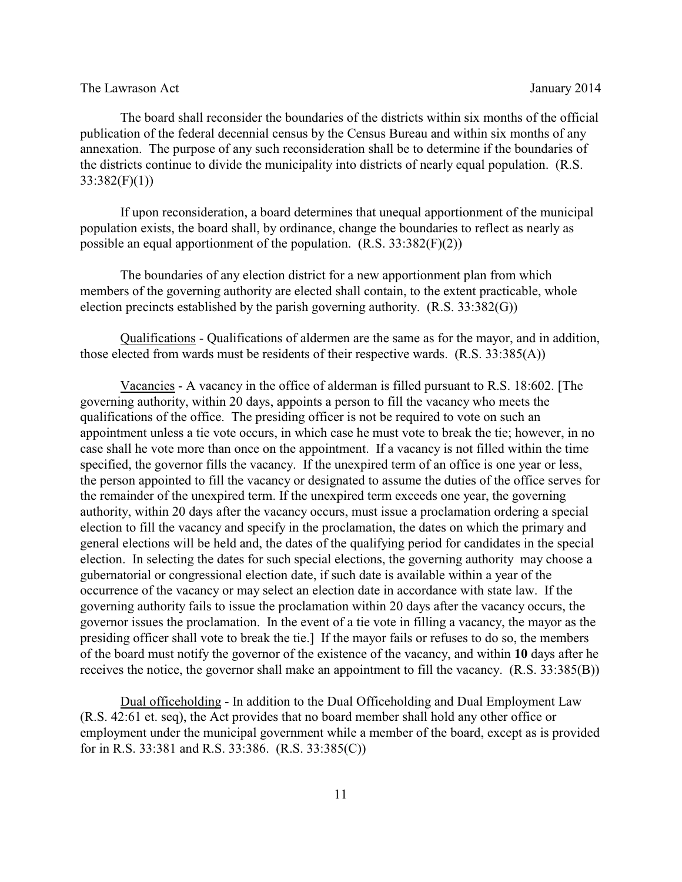The board shall reconsider the boundaries of the districts within six months of the official publication of the federal decennial census by the Census Bureau and within six months of any annexation. The purpose of any such reconsideration shall be to determine if the boundaries of the districts continue to divide the municipality into districts of nearly equal population. (R.S.  $33:382(F)(1)$ 

If upon reconsideration, a board determines that unequal apportionment of the municipal population exists, the board shall, by ordinance, change the boundaries to reflect as nearly as possible an equal apportionment of the population. (R.S. 33:382(F)(2))

The boundaries of any election district for a new apportionment plan from which members of the governing authority are elected shall contain, to the extent practicable, whole election precincts established by the parish governing authority. (R.S. 33:382(G))

Qualifications - Qualifications of aldermen are the same as for the mayor, and in addition, those elected from wards must be residents of their respective wards. (R.S. 33:385(A))

Vacancies - A vacancy in the office of alderman is filled pursuant to R.S. 18:602. [The governing authority, within 20 days, appoints a person to fill the vacancy who meets the qualifications of the office. The presiding officer is not be required to vote on such an appointment unless a tie vote occurs, in which case he must vote to break the tie; however, in no case shall he vote more than once on the appointment. If a vacancy is not filled within the time specified, the governor fills the vacancy. If the unexpired term of an office is one year or less, the person appointed to fill the vacancy or designated to assume the duties of the office serves for the remainder of the unexpired term. If the unexpired term exceeds one year, the governing authority, within 20 days after the vacancy occurs, must issue a proclamation ordering a special election to fill the vacancy and specify in the proclamation, the dates on which the primary and general elections will be held and, the dates of the qualifying period for candidates in the special election. In selecting the dates for such special elections, the governing authority may choose a gubernatorial or congressional election date, if such date is available within a year of the occurrence of the vacancy or may select an election date in accordance with state law. If the governing authority fails to issue the proclamation within 20 days after the vacancy occurs, the governor issues the proclamation. In the event of a tie vote in filling a vacancy, the mayor as the presiding officer shall vote to break the tie.] If the mayor fails or refuses to do so, the members of the board must notify the governor of the existence of the vacancy, and within **10** days after he receives the notice, the governor shall make an appointment to fill the vacancy. (R.S. 33:385(B))

Dual officeholding - In addition to the Dual Officeholding and Dual Employment Law (R.S. 42:61 et. seq), the Act provides that no board member shall hold any other office or employment under the municipal government while a member of the board, except as is provided for in R.S. 33:381 and R.S. 33:386. (R.S. 33:385(C))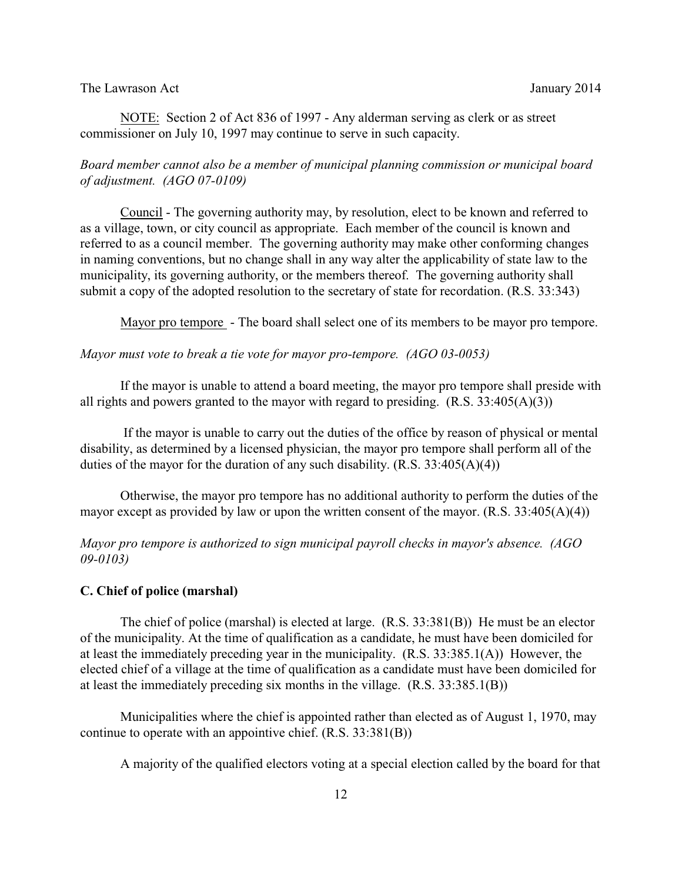### The Lawrason Act **Immunolation** January 2014

NOTE: Section 2 of Act 836 of 1997 - Any alderman serving as clerk or as street commissioner on July 10, 1997 may continue to serve in such capacity.

# *Board member cannot also be a member of municipal planning commission or municipal board of adjustment. (AGO 07-0109)*

Council - The governing authority may, by resolution, elect to be known and referred to as a village, town, or city council as appropriate. Each member of the council is known and referred to as a council member. The governing authority may make other conforming changes in naming conventions, but no change shall in any way alter the applicability of state law to the municipality, its governing authority, or the members thereof. The governing authority shall submit a copy of the adopted resolution to the secretary of state for recordation. (R.S. 33:343)

Mayor pro tempore - The board shall select one of its members to be mayor pro tempore.

### *Mayor must vote to break a tie vote for mayor pro-tempore. (AGO 03-0053)*

If the mayor is unable to attend a board meeting, the mayor pro tempore shall preside with all rights and powers granted to the mayor with regard to presiding.  $(R.S. 33:405(A)(3))$ 

 If the mayor is unable to carry out the duties of the office by reason of physical or mental disability, as determined by a licensed physician, the mayor pro tempore shall perform all of the duties of the mayor for the duration of any such disability.  $(R.S. 33:405(A)(4))$ 

Otherwise, the mayor pro tempore has no additional authority to perform the duties of the mayor except as provided by law or upon the written consent of the mayor.  $(R.S. 33:405(A)(4))$ 

*Mayor pro tempore is authorized to sign municipal payroll checks in mayor's absence. (AGO 09-0103)*

### **C. Chief of police (marshal)**

The chief of police (marshal) is elected at large. (R.S. 33:381(B)) He must be an elector of the municipality. At the time of qualification as a candidate, he must have been domiciled for at least the immediately preceding year in the municipality. (R.S. 33:385.1(A)) However, the elected chief of a village at the time of qualification as a candidate must have been domiciled for at least the immediately preceding six months in the village. (R.S. 33:385.1(B))

Municipalities where the chief is appointed rather than elected as of August 1, 1970, may continue to operate with an appointive chief. (R.S. 33:381(B))

A majority of the qualified electors voting at a special election called by the board for that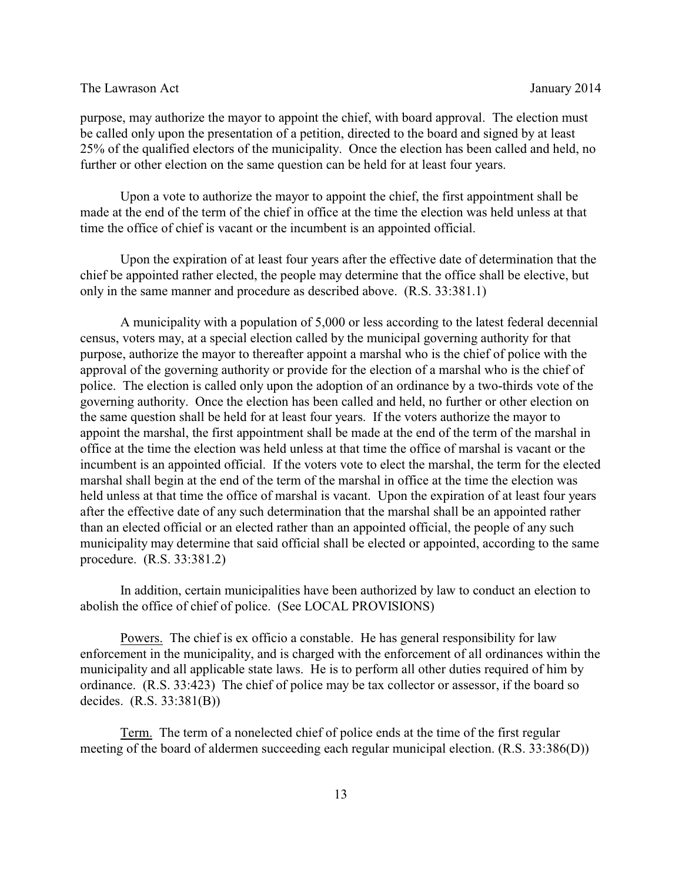purpose, may authorize the mayor to appoint the chief, with board approval. The election must be called only upon the presentation of a petition, directed to the board and signed by at least 25% of the qualified electors of the municipality. Once the election has been called and held, no further or other election on the same question can be held for at least four years.

Upon a vote to authorize the mayor to appoint the chief, the first appointment shall be made at the end of the term of the chief in office at the time the election was held unless at that time the office of chief is vacant or the incumbent is an appointed official.

Upon the expiration of at least four years after the effective date of determination that the chief be appointed rather elected, the people may determine that the office shall be elective, but only in the same manner and procedure as described above. (R.S. 33:381.1)

A municipality with a population of 5,000 or less according to the latest federal decennial census, voters may, at a special election called by the municipal governing authority for that purpose, authorize the mayor to thereafter appoint a marshal who is the chief of police with the approval of the governing authority or provide for the election of a marshal who is the chief of police. The election is called only upon the adoption of an ordinance by a two-thirds vote of the governing authority. Once the election has been called and held, no further or other election on the same question shall be held for at least four years. If the voters authorize the mayor to appoint the marshal, the first appointment shall be made at the end of the term of the marshal in office at the time the election was held unless at that time the office of marshal is vacant or the incumbent is an appointed official. If the voters vote to elect the marshal, the term for the elected marshal shall begin at the end of the term of the marshal in office at the time the election was held unless at that time the office of marshal is vacant. Upon the expiration of at least four years after the effective date of any such determination that the marshal shall be an appointed rather than an elected official or an elected rather than an appointed official, the people of any such municipality may determine that said official shall be elected or appointed, according to the same procedure. (R.S. 33:381.2)

In addition, certain municipalities have been authorized by law to conduct an election to abolish the office of chief of police. (See LOCAL PROVISIONS)

Powers. The chief is ex officio a constable. He has general responsibility for law enforcement in the municipality, and is charged with the enforcement of all ordinances within the municipality and all applicable state laws. He is to perform all other duties required of him by ordinance. (R.S. 33:423) The chief of police may be tax collector or assessor, if the board so decides. (R.S. 33:381(B))

Term. The term of a nonelected chief of police ends at the time of the first regular meeting of the board of aldermen succeeding each regular municipal election. (R.S. 33:386(D))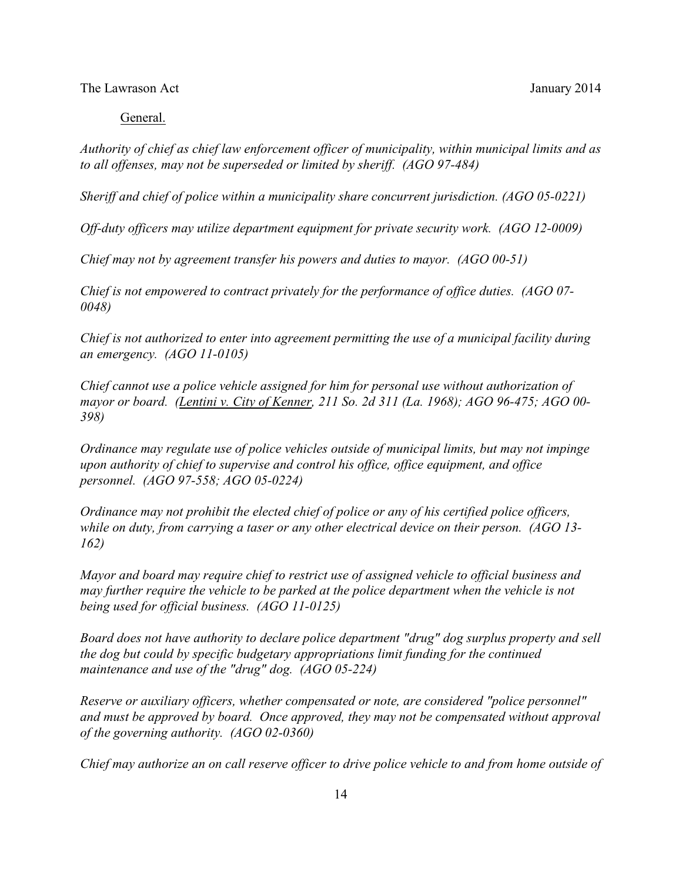#### General.

*Authority of chief as chief law enforcement officer of municipality, within municipal limits and as to all offenses, may not be superseded or limited by sheriff. (AGO 97-484)* 

*Sheriff and chief of police within a municipality share concurrent jurisdiction. (AGO 05-0221)* 

*Off-duty officers may utilize department equipment for private security work. (AGO 12-0009)*

*Chief may not by agreement transfer his powers and duties to mayor. (AGO 00-51)* 

*Chief is not empowered to contract privately for the performance of office duties. (AGO 07- 0048)* 

*Chief is not authorized to enter into agreement permitting the use of a municipal facility during an emergency. (AGO 11-0105)*

*Chief cannot use a police vehicle assigned for him for personal use without authorization of mayor or board. (Lentini v. City of Kenner, 211 So. 2d 311 (La. 1968); AGO 96-475; AGO 00- 398)* 

*Ordinance may regulate use of police vehicles outside of municipal limits, but may not impinge upon authority of chief to supervise and control his office, office equipment, and office personnel. (AGO 97-558; AGO 05-0224)* 

*Ordinance may not prohibit the elected chief of police or any of his certified police officers, while on duty, from carrying a taser or any other electrical device on their person. (AGO 13- 162)*

*Mayor and board may require chief to restrict use of assigned vehicle to official business and may further require the vehicle to be parked at the police department when the vehicle is not being used for official business. (AGO 11-0125)*

*Board does not have authority to declare police department "drug" dog surplus property and sell the dog but could by specific budgetary appropriations limit funding for the continued maintenance and use of the "drug" dog. (AGO 05-224)* 

*Reserve or auxiliary officers, whether compensated or note, are considered "police personnel" and must be approved by board. Once approved, they may not be compensated without approval of the governing authority. (AGO 02-0360)* 

*Chief may authorize an on call reserve officer to drive police vehicle to and from home outside of*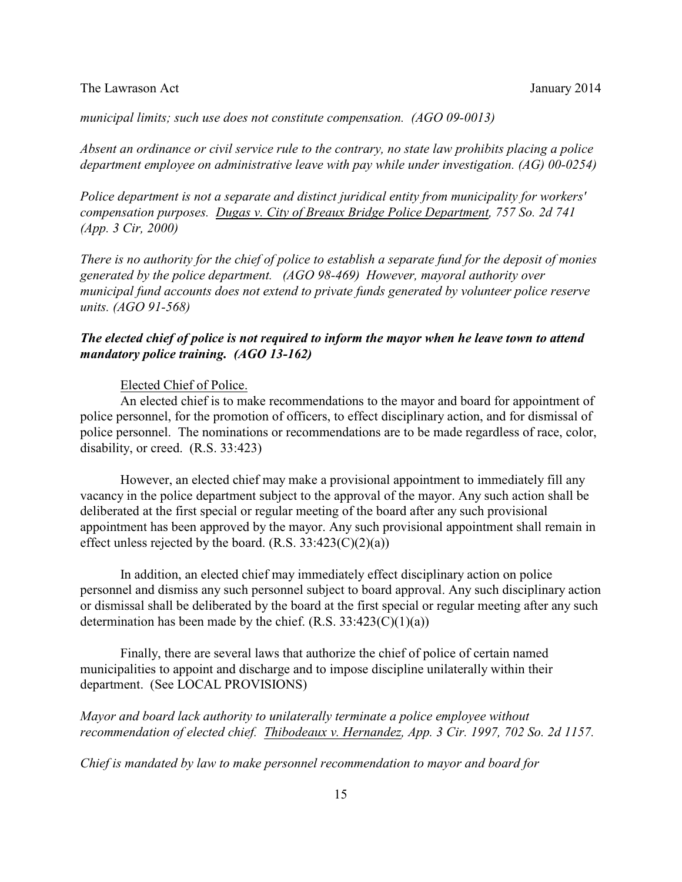*municipal limits; such use does not constitute compensation. (AGO 09-0013)*

*Absent an ordinance or civil service rule to the contrary, no state law prohibits placing a police department employee on administrative leave with pay while under investigation. (AG) 00-0254)*

*Police department is not a separate and distinct juridical entity from municipality for workers' compensation purposes. Dugas v. City of Breaux Bridge Police Department, 757 So. 2d 741 (App. 3 Cir, 2000)*

*There is no authority for the chief of police to establish a separate fund for the deposit of monies generated by the police department. (AGO 98-469) However, mayoral authority over municipal fund accounts does not extend to private funds generated by volunteer police reserve units. (AGO 91-568)*

# *The elected chief of police is not required to inform the mayor when he leave town to attend mandatory police training. (AGO 13-162)*

### Elected Chief of Police.

An elected chief is to make recommendations to the mayor and board for appointment of police personnel, for the promotion of officers, to effect disciplinary action, and for dismissal of police personnel. The nominations or recommendations are to be made regardless of race, color, disability, or creed. (R.S. 33:423)

However, an elected chief may make a provisional appointment to immediately fill any vacancy in the police department subject to the approval of the mayor. Any such action shall be deliberated at the first special or regular meeting of the board after any such provisional appointment has been approved by the mayor. Any such provisional appointment shall remain in effect unless rejected by the board.  $(R.S. 33:423(C)(2)(a))$ 

In addition, an elected chief may immediately effect disciplinary action on police personnel and dismiss any such personnel subject to board approval. Any such disciplinary action or dismissal shall be deliberated by the board at the first special or regular meeting after any such determination has been made by the chief.  $(R.S. 33:423(C)(1)(a))$ 

Finally, there are several laws that authorize the chief of police of certain named municipalities to appoint and discharge and to impose discipline unilaterally within their department. (See LOCAL PROVISIONS)

*Mayor and board lack authority to unilaterally terminate a police employee without recommendation of elected chief. Thibodeaux v. Hernandez, App. 3 Cir. 1997, 702 So. 2d 1157.* 

*Chief is mandated by law to make personnel recommendation to mayor and board for*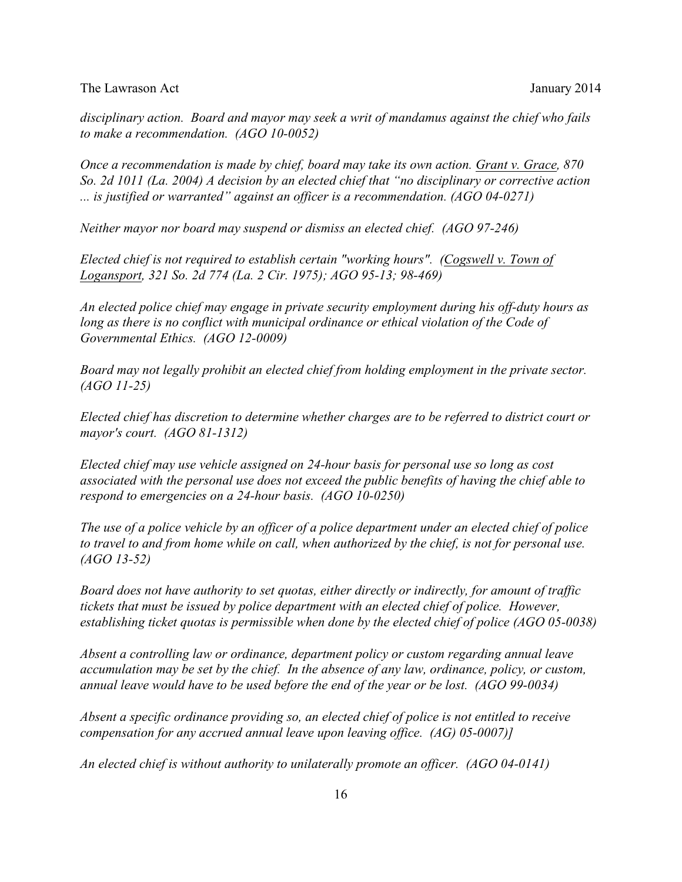*disciplinary action. Board and mayor may seek a writ of mandamus against the chief who fails to make a recommendation. (AGO 10-0052)*

*Once a recommendation is made by chief, board may take its own action. Grant v. Grace, 870 So. 2d 1011 (La. 2004) A decision by an elected chief that "no disciplinary or corrective action ... is justified or warranted" against an officer is a recommendation. (AGO 04-0271)* 

*Neither mayor nor board may suspend or dismiss an elected chief. (AGO 97-246)* 

*Elected chief is not required to establish certain "working hours". (Cogswell v. Town of Logansport, 321 So. 2d 774 (La. 2 Cir. 1975); AGO 95-13; 98-469)*

*An elected police chief may engage in private security employment during his off-duty hours as long as there is no conflict with municipal ordinance or ethical violation of the Code of Governmental Ethics. (AGO 12-0009)*

*Board may not legally prohibit an elected chief from holding employment in the private sector. (AGO 11-25)*

*Elected chief has discretion to determine whether charges are to be referred to district court or mayor's court. (AGO 81-1312)* 

*Elected chief may use vehicle assigned on 24-hour basis for personal use so long as cost associated with the personal use does not exceed the public benefits of having the chief able to respond to emergencies on a 24-hour basis. (AGO 10-0250)*

*The use of a police vehicle by an officer of a police department under an elected chief of police to travel to and from home while on call, when authorized by the chief, is not for personal use. (AGO 13-52)*

*Board does not have authority to set quotas, either directly or indirectly, for amount of traffic tickets that must be issued by police department with an elected chief of police. However, establishing ticket quotas is permissible when done by the elected chief of police (AGO 05-0038)* 

*Absent a controlling law or ordinance, department policy or custom regarding annual leave accumulation may be set by the chief. In the absence of any law, ordinance, policy, or custom, annual leave would have to be used before the end of the year or be lost. (AGO 99-0034)*

*Absent a specific ordinance providing so, an elected chief of police is not entitled to receive compensation for any accrued annual leave upon leaving office. (AG) 05-0007)]*

*An elected chief is without authority to unilaterally promote an officer. (AGO 04-0141)*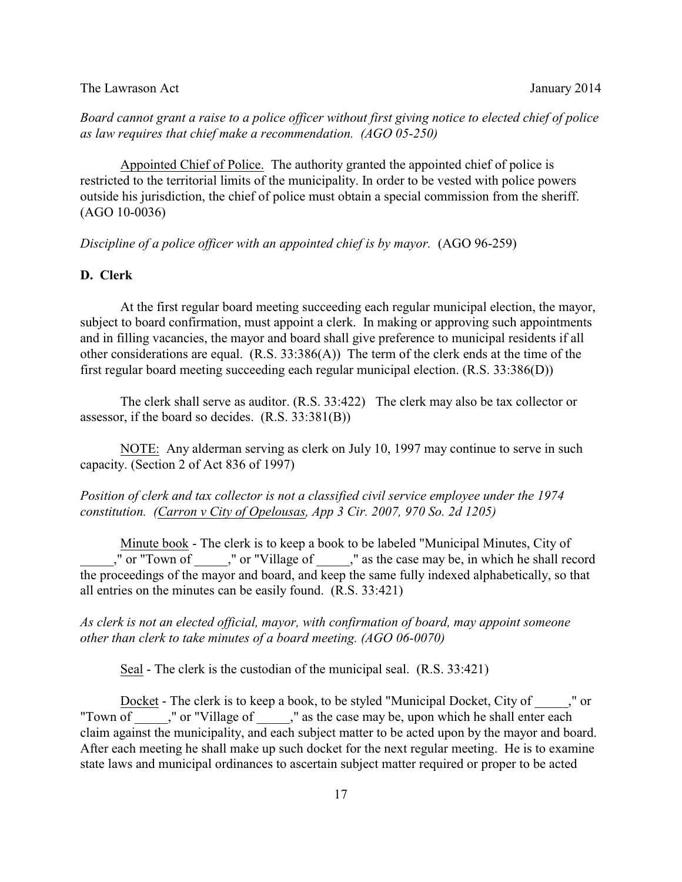*Board cannot grant a raise to a police officer without first giving notice to elected chief of police as law requires that chief make a recommendation. (AGO 05-250)* 

Appointed Chief of Police. The authority granted the appointed chief of police is restricted to the territorial limits of the municipality. In order to be vested with police powers outside his jurisdiction, the chief of police must obtain a special commission from the sheriff. (AGO 10-0036)

*Discipline of a police officer with an appointed chief is by mayor.* (AGO 96-259)

# **D. Clerk**

At the first regular board meeting succeeding each regular municipal election, the mayor, subject to board confirmation, must appoint a clerk. In making or approving such appointments and in filling vacancies, the mayor and board shall give preference to municipal residents if all other considerations are equal.  $(R.S. 33:386(A))$  The term of the clerk ends at the time of the first regular board meeting succeeding each regular municipal election. (R.S. 33:386(D))

The clerk shall serve as auditor. (R.S. 33:422) The clerk may also be tax collector or assessor, if the board so decides. (R.S. 33:381(B))

NOTE: Any alderman serving as clerk on July 10, 1997 may continue to serve in such capacity. (Section 2 of Act 836 of 1997)

# *Position of clerk and tax collector is not a classified civil service employee under the 1974 constitution. (Carron v City of Opelousas, App 3 Cir. 2007, 970 So. 2d 1205)*

Minute book - The clerk is to keep a book to be labeled "Municipal Minutes, City of \_\_\_\_\_," or "Town of \_\_\_\_\_," or "Village of \_\_\_\_\_," as the case may be, in which he shall record the proceedings of the mayor and board, and keep the same fully indexed alphabetically, so that all entries on the minutes can be easily found. (R.S. 33:421)

*As clerk is not an elected official, mayor, with confirmation of board, may appoint someone other than clerk to take minutes of a board meeting. (AGO 06-0070)*

Seal - The clerk is the custodian of the municipal seal. (R.S. 33:421)

Docket - The clerk is to keep a book, to be styled "Municipal Docket, City of  $\blacksquare$ ," or "Town of  $\blacksquare$ ," or "Village of  $\blacksquare$ ," as the case may be, upon which he shall enter each claim against the municipality, and each subject matter to be acted upon by the mayor and board. After each meeting he shall make up such docket for the next regular meeting. He is to examine state laws and municipal ordinances to ascertain subject matter required or proper to be acted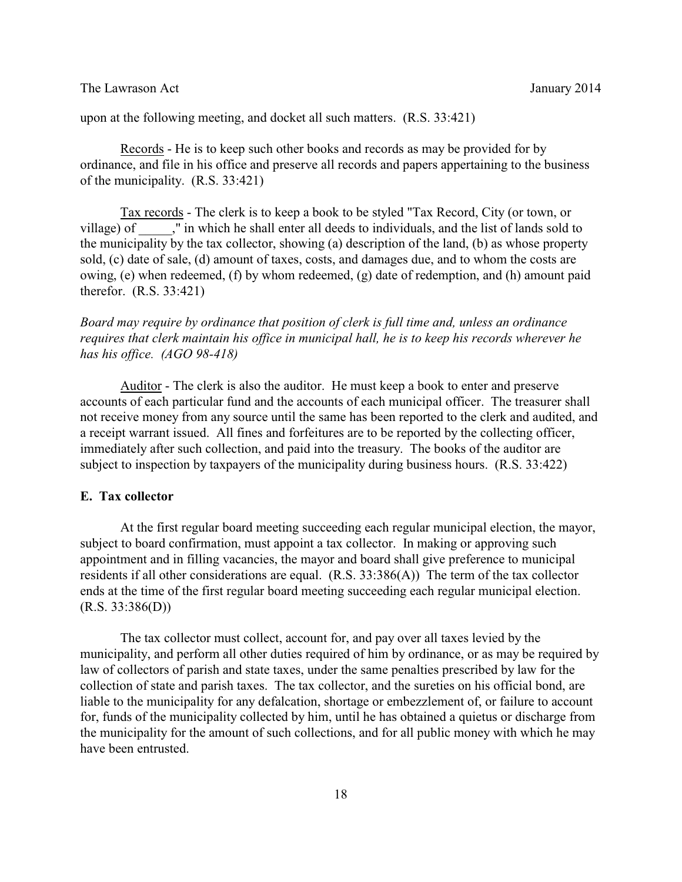upon at the following meeting, and docket all such matters. (R.S. 33:421)

Records - He is to keep such other books and records as may be provided for by ordinance, and file in his office and preserve all records and papers appertaining to the business of the municipality. (R.S. 33:421)

Tax records - The clerk is to keep a book to be styled "Tax Record, City (or town, or village) of \_\_\_\_\_," in which he shall enter all deeds to individuals, and the list of lands sold to the municipality by the tax collector, showing (a) description of the land, (b) as whose property sold, (c) date of sale, (d) amount of taxes, costs, and damages due, and to whom the costs are owing, (e) when redeemed, (f) by whom redeemed, (g) date of redemption, and (h) amount paid therefor. (R.S. 33:421)

*Board may require by ordinance that position of clerk is full time and, unless an ordinance requires that clerk maintain his office in municipal hall, he is to keep his records wherever he has his office. (AGO 98-418)*

Auditor - The clerk is also the auditor. He must keep a book to enter and preserve accounts of each particular fund and the accounts of each municipal officer. The treasurer shall not receive money from any source until the same has been reported to the clerk and audited, and a receipt warrant issued. All fines and forfeitures are to be reported by the collecting officer, immediately after such collection, and paid into the treasury. The books of the auditor are subject to inspection by taxpayers of the municipality during business hours. (R.S. 33:422)

# **E. Tax collector**

At the first regular board meeting succeeding each regular municipal election, the mayor, subject to board confirmation, must appoint a tax collector. In making or approving such appointment and in filling vacancies, the mayor and board shall give preference to municipal residents if all other considerations are equal. (R.S. 33:386(A)) The term of the tax collector ends at the time of the first regular board meeting succeeding each regular municipal election.  $(R.S. 33:386(D))$ 

The tax collector must collect, account for, and pay over all taxes levied by the municipality, and perform all other duties required of him by ordinance, or as may be required by law of collectors of parish and state taxes, under the same penalties prescribed by law for the collection of state and parish taxes. The tax collector, and the sureties on his official bond, are liable to the municipality for any defalcation, shortage or embezzlement of, or failure to account for, funds of the municipality collected by him, until he has obtained a quietus or discharge from the municipality for the amount of such collections, and for all public money with which he may have been entrusted.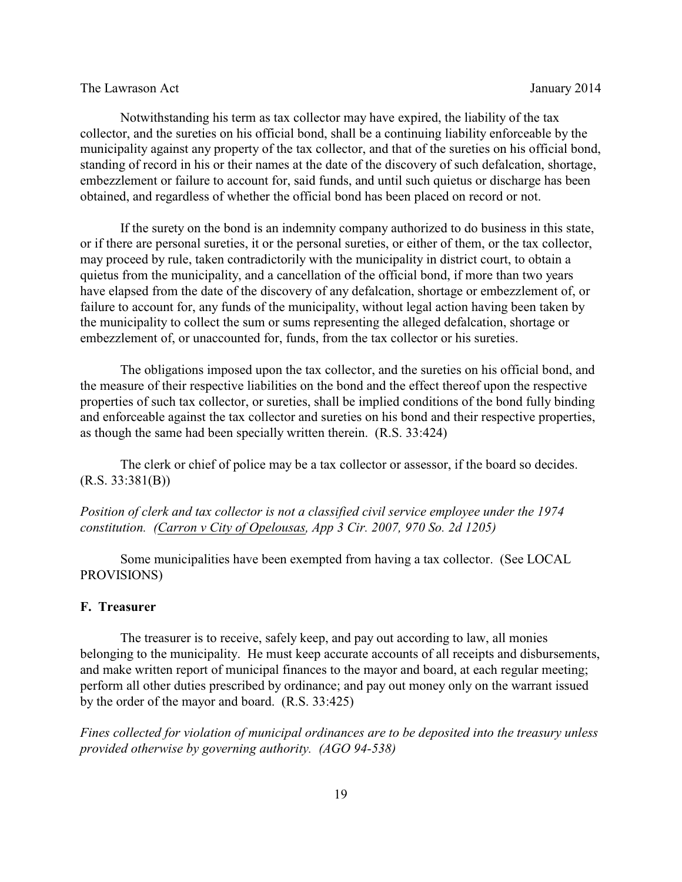Notwithstanding his term as tax collector may have expired, the liability of the tax collector, and the sureties on his official bond, shall be a continuing liability enforceable by the municipality against any property of the tax collector, and that of the sureties on his official bond, standing of record in his or their names at the date of the discovery of such defalcation, shortage, embezzlement or failure to account for, said funds, and until such quietus or discharge has been obtained, and regardless of whether the official bond has been placed on record or not.

If the surety on the bond is an indemnity company authorized to do business in this state, or if there are personal sureties, it or the personal sureties, or either of them, or the tax collector, may proceed by rule, taken contradictorily with the municipality in district court, to obtain a quietus from the municipality, and a cancellation of the official bond, if more than two years have elapsed from the date of the discovery of any defalcation, shortage or embezzlement of, or failure to account for, any funds of the municipality, without legal action having been taken by the municipality to collect the sum or sums representing the alleged defalcation, shortage or embezzlement of, or unaccounted for, funds, from the tax collector or his sureties.

The obligations imposed upon the tax collector, and the sureties on his official bond, and the measure of their respective liabilities on the bond and the effect thereof upon the respective properties of such tax collector, or sureties, shall be implied conditions of the bond fully binding and enforceable against the tax collector and sureties on his bond and their respective properties, as though the same had been specially written therein. (R.S. 33:424)

The clerk or chief of police may be a tax collector or assessor, if the board so decides.  $(R.S. 33:381(B))$ 

*Position of clerk and tax collector is not a classified civil service employee under the 1974 constitution. (Carron v City of Opelousas, App 3 Cir. 2007, 970 So. 2d 1205)*

Some municipalities have been exempted from having a tax collector. (See LOCAL PROVISIONS)

# **F. Treasurer**

The treasurer is to receive, safely keep, and pay out according to law, all monies belonging to the municipality. He must keep accurate accounts of all receipts and disbursements, and make written report of municipal finances to the mayor and board, at each regular meeting; perform all other duties prescribed by ordinance; and pay out money only on the warrant issued by the order of the mayor and board. (R.S. 33:425)

*Fines collected for violation of municipal ordinances are to be deposited into the treasury unless provided otherwise by governing authority. (AGO 94-538)*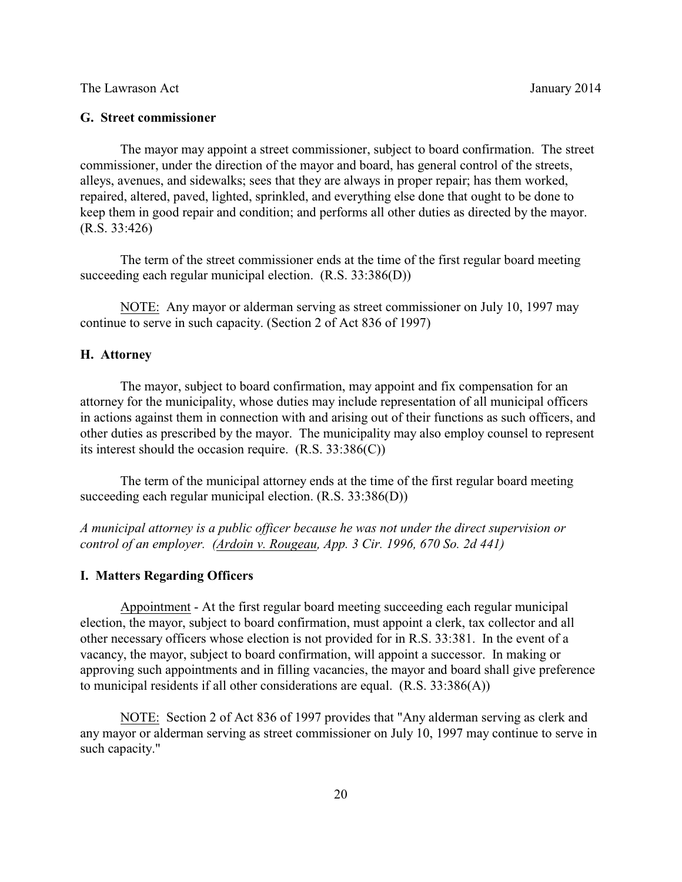### **G. Street commissioner**

The mayor may appoint a street commissioner, subject to board confirmation. The street commissioner, under the direction of the mayor and board, has general control of the streets, alleys, avenues, and sidewalks; sees that they are always in proper repair; has them worked, repaired, altered, paved, lighted, sprinkled, and everything else done that ought to be done to keep them in good repair and condition; and performs all other duties as directed by the mayor. (R.S. 33:426)

The term of the street commissioner ends at the time of the first regular board meeting succeeding each regular municipal election. (R.S. 33:386(D))

NOTE: Any mayor or alderman serving as street commissioner on July 10, 1997 may continue to serve in such capacity. (Section 2 of Act 836 of 1997)

### **H. Attorney**

The mayor, subject to board confirmation, may appoint and fix compensation for an attorney for the municipality, whose duties may include representation of all municipal officers in actions against them in connection with and arising out of their functions as such officers, and other duties as prescribed by the mayor. The municipality may also employ counsel to represent its interest should the occasion require.  $(R.S. 33:386(C))$ 

The term of the municipal attorney ends at the time of the first regular board meeting succeeding each regular municipal election. (R.S. 33:386(D))

*A municipal attorney is a public officer because he was not under the direct supervision or control of an employer. (Ardoin v. Rougeau, App. 3 Cir. 1996, 670 So. 2d 441)*

### **I. Matters Regarding Officers**

Appointment - At the first regular board meeting succeeding each regular municipal election, the mayor, subject to board confirmation, must appoint a clerk, tax collector and all other necessary officers whose election is not provided for in R.S. 33:381. In the event of a vacancy, the mayor, subject to board confirmation, will appoint a successor. In making or approving such appointments and in filling vacancies, the mayor and board shall give preference to municipal residents if all other considerations are equal. (R.S. 33:386(A))

NOTE: Section 2 of Act 836 of 1997 provides that "Any alderman serving as clerk and any mayor or alderman serving as street commissioner on July 10, 1997 may continue to serve in such capacity."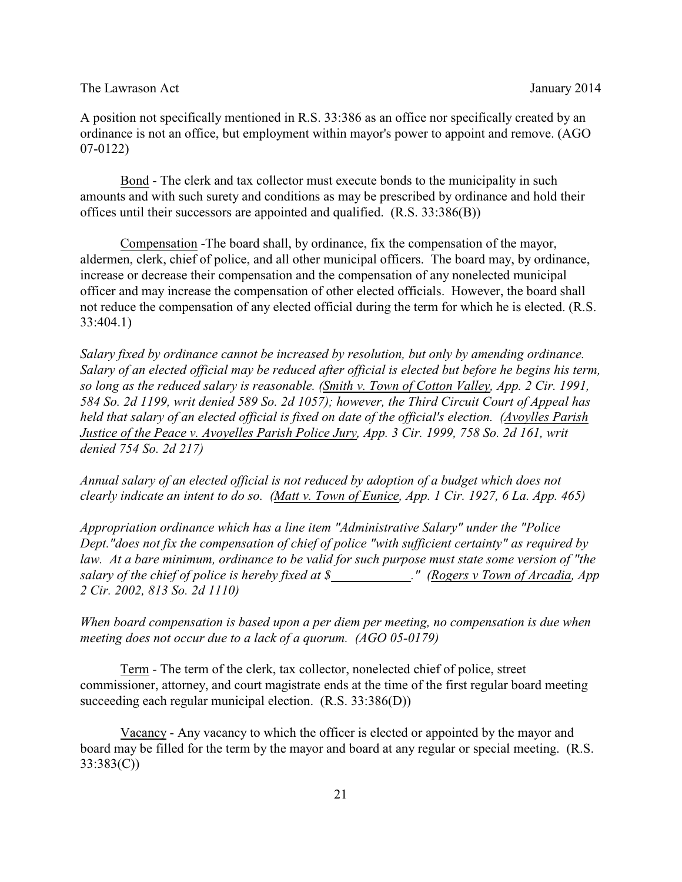A position not specifically mentioned in R.S. 33:386 as an office nor specifically created by an ordinance is not an office, but employment within mayor's power to appoint and remove. (AGO 07-0122)

Bond - The clerk and tax collector must execute bonds to the municipality in such amounts and with such surety and conditions as may be prescribed by ordinance and hold their offices until their successors are appointed and qualified. (R.S. 33:386(B))

Compensation -The board shall, by ordinance, fix the compensation of the mayor, aldermen, clerk, chief of police, and all other municipal officers. The board may, by ordinance, increase or decrease their compensation and the compensation of any nonelected municipal officer and may increase the compensation of other elected officials. However, the board shall not reduce the compensation of any elected official during the term for which he is elected. (R.S. 33:404.1)

*Salary fixed by ordinance cannot be increased by resolution, but only by amending ordinance. Salary of an elected official may be reduced after official is elected but before he begins his term, so long as the reduced salary is reasonable. (Smith v. Town of Cotton Valley, App. 2 Cir. 1991, 584 So. 2d 1199, writ denied 589 So. 2d 1057); however, the Third Circuit Court of Appeal has held that salary of an elected official is fixed on date of the official's election. (Avoylles Parish Justice of the Peace v. Avoyelles Parish Police Jury, App. 3 Cir. 1999, 758 So. 2d 161, writ denied 754 So. 2d 217)* 

*Annual salary of an elected official is not reduced by adoption of a budget which does not clearly indicate an intent to do so. (Matt v. Town of Eunice, App. 1 Cir. 1927, 6 La. App. 465)* 

*Appropriation ordinance which has a line item "Administrative Salary" under the "Police Dept."does not fix the compensation of chief of police "with sufficient certainty" as required by law. At a bare minimum, ordinance to be valid for such purpose must state some version of "the salary of the chief of police is hereby fixed at \$ ." (Rogers v Town of Arcadia, App 2 Cir. 2002, 813 So. 2d 1110)* 

*When board compensation is based upon a per diem per meeting, no compensation is due when meeting does not occur due to a lack of a quorum. (AGO 05-0179)*

Term - The term of the clerk, tax collector, nonelected chief of police, street commissioner, attorney, and court magistrate ends at the time of the first regular board meeting succeeding each regular municipal election. (R.S. 33:386(D))

Vacancy - Any vacancy to which the officer is elected or appointed by the mayor and board may be filled for the term by the mayor and board at any regular or special meeting. (R.S. 33:383(C))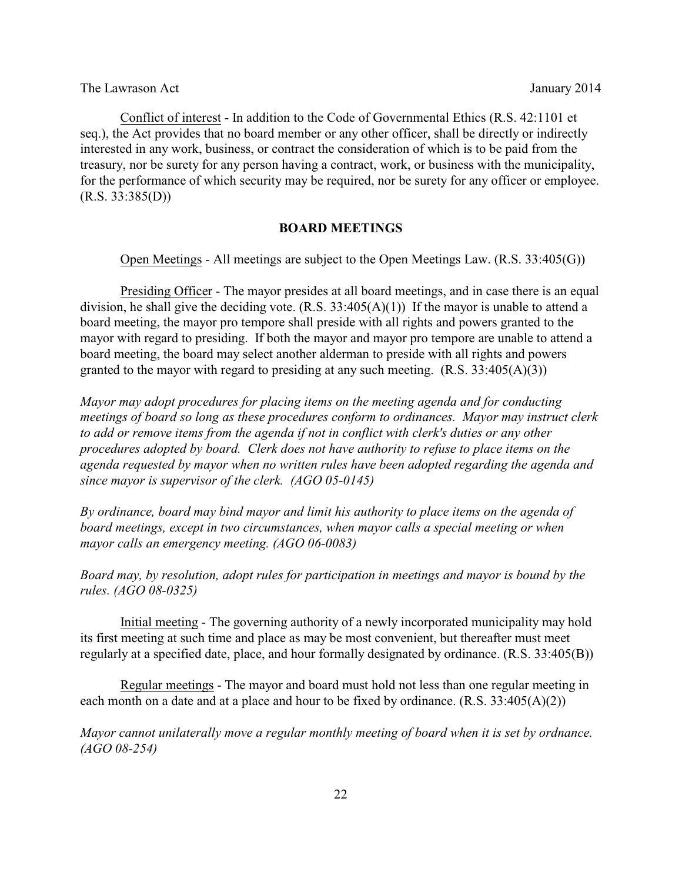Conflict of interest - In addition to the Code of Governmental Ethics (R.S. 42:1101 et seq.), the Act provides that no board member or any other officer, shall be directly or indirectly interested in any work, business, or contract the consideration of which is to be paid from the treasury, nor be surety for any person having a contract, work, or business with the municipality, for the performance of which security may be required, nor be surety for any officer or employee.  $(R.S. 33:385(D))$ 

### **BOARD MEETINGS**

Open Meetings - All meetings are subject to the Open Meetings Law. (R.S. 33:405(G))

Presiding Officer - The mayor presides at all board meetings, and in case there is an equal division, he shall give the deciding vote.  $(R.S. 33:405(A)(1))$  If the mayor is unable to attend a board meeting, the mayor pro tempore shall preside with all rights and powers granted to the mayor with regard to presiding. If both the mayor and mayor pro tempore are unable to attend a board meeting, the board may select another alderman to preside with all rights and powers granted to the mayor with regard to presiding at any such meeting.  $(R.S. 33:405(A)(3))$ 

*Mayor may adopt procedures for placing items on the meeting agenda and for conducting meetings of board so long as these procedures conform to ordinances. Mayor may instruct clerk to add or remove items from the agenda if not in conflict with clerk's duties or any other procedures adopted by board. Clerk does not have authority to refuse to place items on the agenda requested by mayor when no written rules have been adopted regarding the agenda and since mayor is supervisor of the clerk. (AGO 05-0145)* 

*By ordinance, board may bind mayor and limit his authority to place items on the agenda of board meetings, except in two circumstances, when mayor calls a special meeting or when mayor calls an emergency meeting. (AGO 06-0083)* 

*Board may, by resolution, adopt rules for participation in meetings and mayor is bound by the rules. (AGO 08-0325)* 

Initial meeting - The governing authority of a newly incorporated municipality may hold its first meeting at such time and place as may be most convenient, but thereafter must meet regularly at a specified date, place, and hour formally designated by ordinance. (R.S. 33:405(B))

Regular meetings - The mayor and board must hold not less than one regular meeting in each month on a date and at a place and hour to be fixed by ordinance.  $(R.S. 33:405(A)(2))$ 

*Mayor cannot unilaterally move a regular monthly meeting of board when it is set by ordnance. (AGO 08-254)*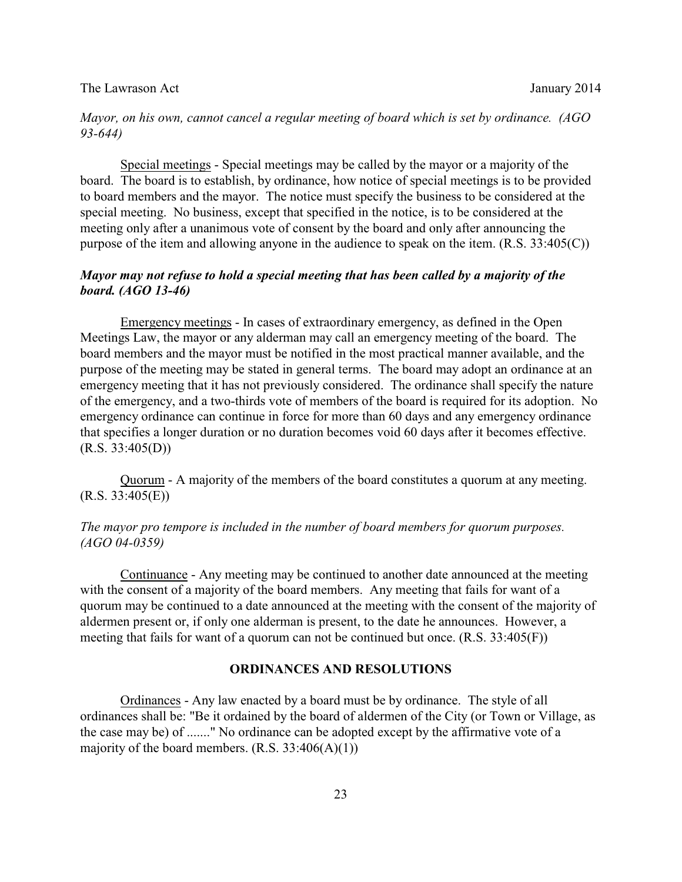### The Lawrason Act **Immunolation** January 2014

### *Mayor, on his own, cannot cancel a regular meeting of board which is set by ordinance. (AGO 93-644)*

Special meetings - Special meetings may be called by the mayor or a majority of the board. The board is to establish, by ordinance, how notice of special meetings is to be provided to board members and the mayor. The notice must specify the business to be considered at the special meeting. No business, except that specified in the notice, is to be considered at the meeting only after a unanimous vote of consent by the board and only after announcing the purpose of the item and allowing anyone in the audience to speak on the item. (R.S. 33:405(C))

# *Mayor may not refuse to hold a special meeting that has been called by a majority of the board. (AGO 13-46)*

Emergency meetings - In cases of extraordinary emergency, as defined in the Open Meetings Law, the mayor or any alderman may call an emergency meeting of the board. The board members and the mayor must be notified in the most practical manner available, and the purpose of the meeting may be stated in general terms. The board may adopt an ordinance at an emergency meeting that it has not previously considered. The ordinance shall specify the nature of the emergency, and a two-thirds vote of members of the board is required for its adoption. No emergency ordinance can continue in force for more than 60 days and any emergency ordinance that specifies a longer duration or no duration becomes void 60 days after it becomes effective.  $(R.S. 33:405(D))$ 

Quorum - A majority of the members of the board constitutes a quorum at any meeting.  $(R.S. 33:405(E))$ 

# *The mayor pro tempore is included in the number of board members for quorum purposes. (AGO 04-0359)*

Continuance - Any meeting may be continued to another date announced at the meeting with the consent of a majority of the board members. Any meeting that fails for want of a quorum may be continued to a date announced at the meeting with the consent of the majority of aldermen present or, if only one alderman is present, to the date he announces. However, a meeting that fails for want of a quorum can not be continued but once. (R.S. 33:405(F))

#### **ORDINANCES AND RESOLUTIONS**

Ordinances - Any law enacted by a board must be by ordinance. The style of all ordinances shall be: "Be it ordained by the board of aldermen of the City (or Town or Village, as the case may be) of ......." No ordinance can be adopted except by the affirmative vote of a majority of the board members.  $(R.S. 33:406(A)(1))$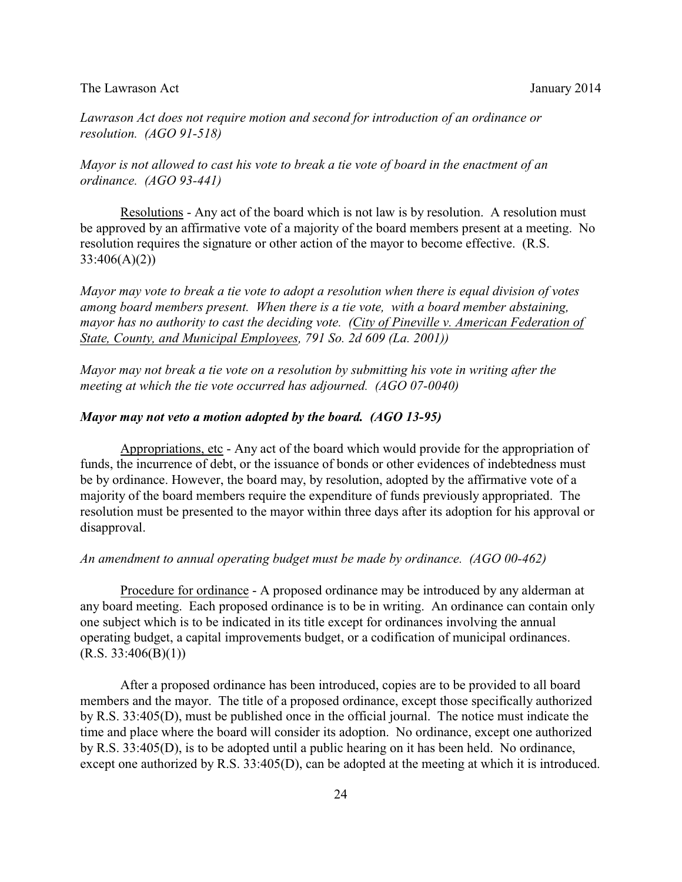*Lawrason Act does not require motion and second for introduction of an ordinance or resolution. (AGO 91-518)* 

*Mayor is not allowed to cast his vote to break a tie vote of board in the enactment of an ordinance. (AGO 93-441)*

Resolutions - Any act of the board which is not law is by resolution. A resolution must be approved by an affirmative vote of a majority of the board members present at a meeting. No resolution requires the signature or other action of the mayor to become effective. (R.S. 33:406(A)(2))

*Mayor may vote to break a tie vote to adopt a resolution when there is equal division of votes among board members present. When there is a tie vote, with a board member abstaining, mayor has no authority to cast the deciding vote. (City of Pineville v. American Federation of State, County, and Municipal Employees, 791 So. 2d 609 (La. 2001))*

*Mayor may not break a tie vote on a resolution by submitting his vote in writing after the meeting at which the tie vote occurred has adjourned. (AGO 07-0040)*

#### *Mayor may not veto a motion adopted by the board. (AGO 13-95)*

Appropriations, etc - Any act of the board which would provide for the appropriation of funds, the incurrence of debt, or the issuance of bonds or other evidences of indebtedness must be by ordinance. However, the board may, by resolution, adopted by the affirmative vote of a majority of the board members require the expenditure of funds previously appropriated. The resolution must be presented to the mayor within three days after its adoption for his approval or disapproval.

#### *An amendment to annual operating budget must be made by ordinance. (AGO 00-462)*

Procedure for ordinance - A proposed ordinance may be introduced by any alderman at any board meeting. Each proposed ordinance is to be in writing. An ordinance can contain only one subject which is to be indicated in its title except for ordinances involving the annual operating budget, a capital improvements budget, or a codification of municipal ordinances.  $(R.S. 33:406(B)(1))$ 

After a proposed ordinance has been introduced, copies are to be provided to all board members and the mayor. The title of a proposed ordinance, except those specifically authorized by R.S. 33:405(D), must be published once in the official journal. The notice must indicate the time and place where the board will consider its adoption. No ordinance, except one authorized by R.S. 33:405(D), is to be adopted until a public hearing on it has been held. No ordinance, except one authorized by R.S. 33:405(D), can be adopted at the meeting at which it is introduced.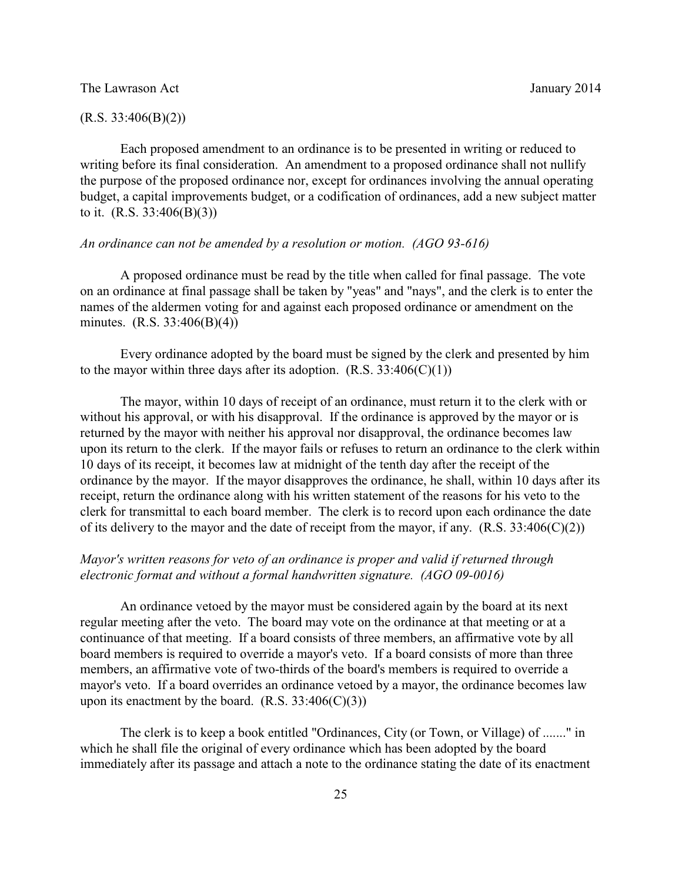#### $(R.S. 33:406(B)(2))$

Each proposed amendment to an ordinance is to be presented in writing or reduced to writing before its final consideration. An amendment to a proposed ordinance shall not nullify the purpose of the proposed ordinance nor, except for ordinances involving the annual operating budget, a capital improvements budget, or a codification of ordinances, add a new subject matter to it. (R.S. 33:406(B)(3))

#### *An ordinance can not be amended by a resolution or motion. (AGO 93-616)*

A proposed ordinance must be read by the title when called for final passage. The vote on an ordinance at final passage shall be taken by "yeas" and "nays", and the clerk is to enter the names of the aldermen voting for and against each proposed ordinance or amendment on the minutes. (R.S. 33:406(B)(4))

Every ordinance adopted by the board must be signed by the clerk and presented by him to the mayor within three days after its adoption.  $(R.S. 33:406(C)(1))$ 

The mayor, within 10 days of receipt of an ordinance, must return it to the clerk with or without his approval, or with his disapproval. If the ordinance is approved by the mayor or is returned by the mayor with neither his approval nor disapproval, the ordinance becomes law upon its return to the clerk. If the mayor fails or refuses to return an ordinance to the clerk within 10 days of its receipt, it becomes law at midnight of the tenth day after the receipt of the ordinance by the mayor. If the mayor disapproves the ordinance, he shall, within 10 days after its receipt, return the ordinance along with his written statement of the reasons for his veto to the clerk for transmittal to each board member. The clerk is to record upon each ordinance the date of its delivery to the mayor and the date of receipt from the mayor, if any.  $(R.S. 33:406(C)(2))$ 

# *Mayor's written reasons for veto of an ordinance is proper and valid if returned through electronic format and without a formal handwritten signature. (AGO 09-0016)*

An ordinance vetoed by the mayor must be considered again by the board at its next regular meeting after the veto. The board may vote on the ordinance at that meeting or at a continuance of that meeting. If a board consists of three members, an affirmative vote by all board members is required to override a mayor's veto. If a board consists of more than three members, an affirmative vote of two-thirds of the board's members is required to override a mayor's veto. If a board overrides an ordinance vetoed by a mayor, the ordinance becomes law upon its enactment by the board.  $(R.S. 33:406(C)(3))$ 

The clerk is to keep a book entitled "Ordinances, City (or Town, or Village) of ......." in which he shall file the original of every ordinance which has been adopted by the board immediately after its passage and attach a note to the ordinance stating the date of its enactment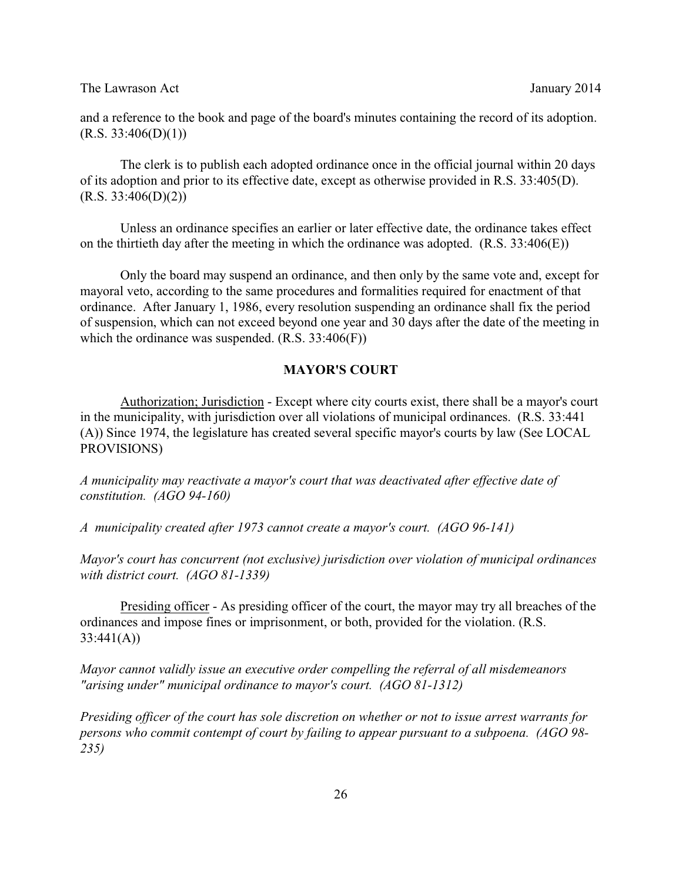and a reference to the book and page of the board's minutes containing the record of its adoption.  $(R.S. 33:406(D)(1))$ 

The clerk is to publish each adopted ordinance once in the official journal within 20 days of its adoption and prior to its effective date, except as otherwise provided in R.S. 33:405(D).  $(R.S. 33:406(D)(2))$ 

Unless an ordinance specifies an earlier or later effective date, the ordinance takes effect on the thirtieth day after the meeting in which the ordinance was adopted.  $(R.S. 33:406(E))$ 

Only the board may suspend an ordinance, and then only by the same vote and, except for mayoral veto, according to the same procedures and formalities required for enactment of that ordinance. After January 1, 1986, every resolution suspending an ordinance shall fix the period of suspension, which can not exceed beyond one year and 30 days after the date of the meeting in which the ordinance was suspended. (R.S. 33:406(F))

# **MAYOR'S COURT**

Authorization; Jurisdiction - Except where city courts exist, there shall be a mayor's court in the municipality, with jurisdiction over all violations of municipal ordinances. (R.S. 33:441 (A)) Since 1974, the legislature has created several specific mayor's courts by law (See LOCAL PROVISIONS)

*A municipality may reactivate a mayor's court that was deactivated after effective date of constitution. (AGO 94-160)*

*A municipality created after 1973 cannot create a mayor's court. (AGO 96-141)* 

*Mayor's court has concurrent (not exclusive) jurisdiction over violation of municipal ordinances with district court. (AGO 81-1339)* 

Presiding officer - As presiding officer of the court, the mayor may try all breaches of the ordinances and impose fines or imprisonment, or both, provided for the violation. (R.S.  $33:441(A)$ 

*Mayor cannot validly issue an executive order compelling the referral of all misdemeanors "arising under" municipal ordinance to mayor's court. (AGO 81-1312)* 

*Presiding officer of the court has sole discretion on whether or not to issue arrest warrants for persons who commit contempt of court by failing to appear pursuant to a subpoena. (AGO 98- 235)*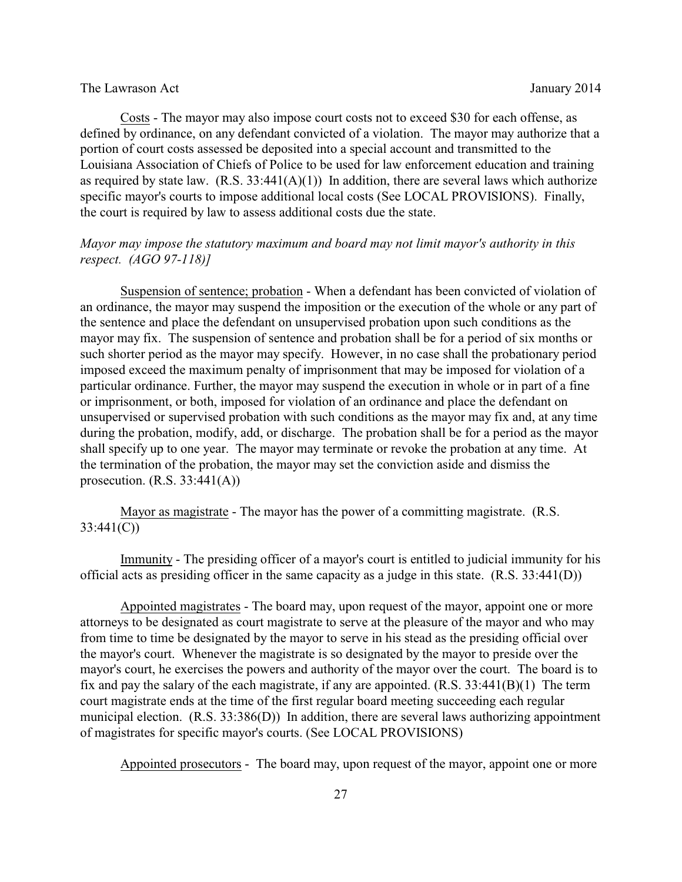Costs - The mayor may also impose court costs not to exceed \$30 for each offense, as defined by ordinance, on any defendant convicted of a violation. The mayor may authorize that a portion of court costs assessed be deposited into a special account and transmitted to the Louisiana Association of Chiefs of Police to be used for law enforcement education and training as required by state law.  $(R.S. 33:441(A)(1))$  In addition, there are several laws which authorize specific mayor's courts to impose additional local costs (See LOCAL PROVISIONS). Finally, the court is required by law to assess additional costs due the state.

# *Mayor may impose the statutory maximum and board may not limit mayor's authority in this respect. (AGO 97-118)]*

Suspension of sentence; probation - When a defendant has been convicted of violation of an ordinance, the mayor may suspend the imposition or the execution of the whole or any part of the sentence and place the defendant on unsupervised probation upon such conditions as the mayor may fix. The suspension of sentence and probation shall be for a period of six months or such shorter period as the mayor may specify. However, in no case shall the probationary period imposed exceed the maximum penalty of imprisonment that may be imposed for violation of a particular ordinance. Further, the mayor may suspend the execution in whole or in part of a fine or imprisonment, or both, imposed for violation of an ordinance and place the defendant on unsupervised or supervised probation with such conditions as the mayor may fix and, at any time during the probation, modify, add, or discharge. The probation shall be for a period as the mayor shall specify up to one year. The mayor may terminate or revoke the probation at any time. At the termination of the probation, the mayor may set the conviction aside and dismiss the prosecution.  $(R.S. 33:441(A))$ 

Mayor as magistrate - The mayor has the power of a committing magistrate. (R.S. 33:441(C))

Immunity - The presiding officer of a mayor's court is entitled to judicial immunity for his official acts as presiding officer in the same capacity as a judge in this state. (R.S. 33:441(D))

Appointed magistrates - The board may, upon request of the mayor, appoint one or more attorneys to be designated as court magistrate to serve at the pleasure of the mayor and who may from time to time be designated by the mayor to serve in his stead as the presiding official over the mayor's court. Whenever the magistrate is so designated by the mayor to preside over the mayor's court, he exercises the powers and authority of the mayor over the court. The board is to fix and pay the salary of the each magistrate, if any are appointed. (R.S. 33:441(B)(1) The term court magistrate ends at the time of the first regular board meeting succeeding each regular municipal election. (R.S. 33:386(D)) In addition, there are several laws authorizing appointment of magistrates for specific mayor's courts. (See LOCAL PROVISIONS)

Appointed prosecutors - The board may, upon request of the mayor, appoint one or more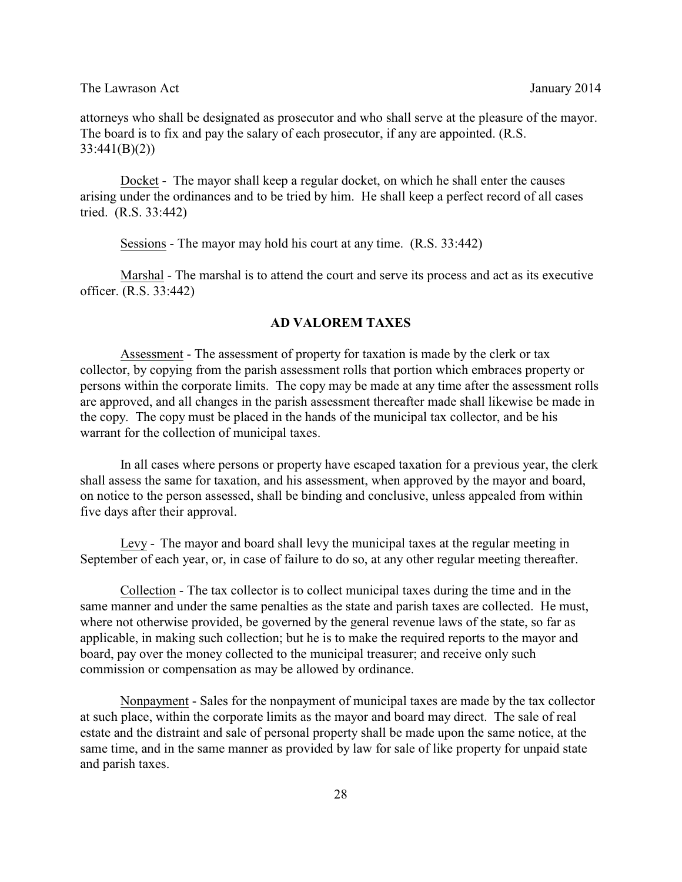attorneys who shall be designated as prosecutor and who shall serve at the pleasure of the mayor. The board is to fix and pay the salary of each prosecutor, if any are appointed. (R.S. 33:441(B)(2))

Docket - The mayor shall keep a regular docket, on which he shall enter the causes arising under the ordinances and to be tried by him. He shall keep a perfect record of all cases tried. (R.S. 33:442)

Sessions - The mayor may hold his court at any time. (R.S. 33:442)

Marshal - The marshal is to attend the court and serve its process and act as its executive officer. (R.S. 33:442)

#### **AD VALOREM TAXES**

Assessment - The assessment of property for taxation is made by the clerk or tax collector, by copying from the parish assessment rolls that portion which embraces property or persons within the corporate limits. The copy may be made at any time after the assessment rolls are approved, and all changes in the parish assessment thereafter made shall likewise be made in the copy. The copy must be placed in the hands of the municipal tax collector, and be his warrant for the collection of municipal taxes.

In all cases where persons or property have escaped taxation for a previous year, the clerk shall assess the same for taxation, and his assessment, when approved by the mayor and board, on notice to the person assessed, shall be binding and conclusive, unless appealed from within five days after their approval.

Levy - The mayor and board shall levy the municipal taxes at the regular meeting in September of each year, or, in case of failure to do so, at any other regular meeting thereafter.

Collection - The tax collector is to collect municipal taxes during the time and in the same manner and under the same penalties as the state and parish taxes are collected. He must, where not otherwise provided, be governed by the general revenue laws of the state, so far as applicable, in making such collection; but he is to make the required reports to the mayor and board, pay over the money collected to the municipal treasurer; and receive only such commission or compensation as may be allowed by ordinance.

Nonpayment - Sales for the nonpayment of municipal taxes are made by the tax collector at such place, within the corporate limits as the mayor and board may direct. The sale of real estate and the distraint and sale of personal property shall be made upon the same notice, at the same time, and in the same manner as provided by law for sale of like property for unpaid state and parish taxes.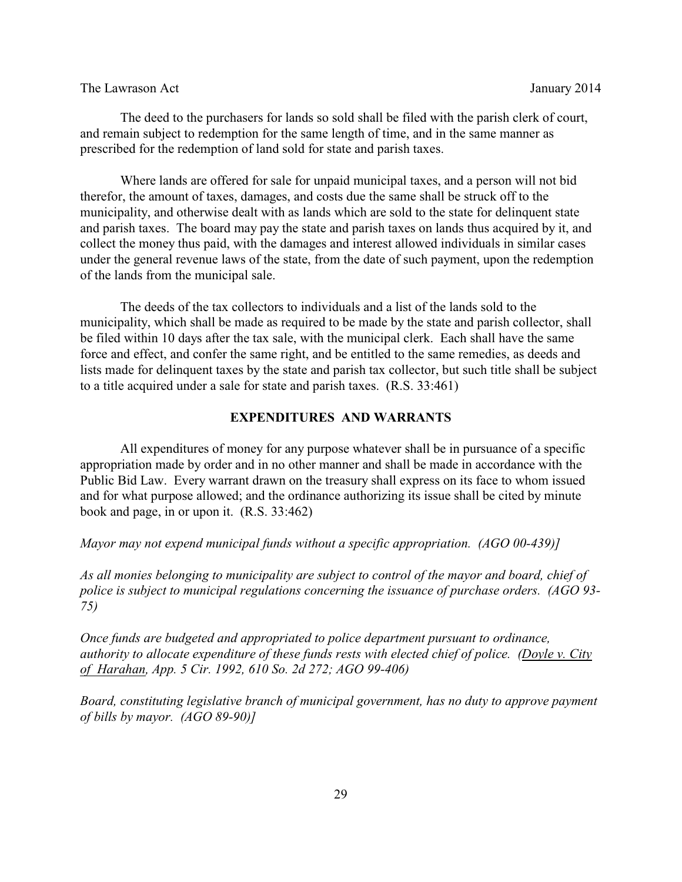The deed to the purchasers for lands so sold shall be filed with the parish clerk of court, and remain subject to redemption for the same length of time, and in the same manner as prescribed for the redemption of land sold for state and parish taxes.

Where lands are offered for sale for unpaid municipal taxes, and a person will not bid therefor, the amount of taxes, damages, and costs due the same shall be struck off to the municipality, and otherwise dealt with as lands which are sold to the state for delinquent state and parish taxes. The board may pay the state and parish taxes on lands thus acquired by it, and collect the money thus paid, with the damages and interest allowed individuals in similar cases under the general revenue laws of the state, from the date of such payment, upon the redemption of the lands from the municipal sale.

The deeds of the tax collectors to individuals and a list of the lands sold to the municipality, which shall be made as required to be made by the state and parish collector, shall be filed within 10 days after the tax sale, with the municipal clerk. Each shall have the same force and effect, and confer the same right, and be entitled to the same remedies, as deeds and lists made for delinquent taxes by the state and parish tax collector, but such title shall be subject to a title acquired under a sale for state and parish taxes. (R.S. 33:461)

## **EXPENDITURES AND WARRANTS**

All expenditures of money for any purpose whatever shall be in pursuance of a specific appropriation made by order and in no other manner and shall be made in accordance with the Public Bid Law. Every warrant drawn on the treasury shall express on its face to whom issued and for what purpose allowed; and the ordinance authorizing its issue shall be cited by minute book and page, in or upon it. (R.S. 33:462)

*Mayor may not expend municipal funds without a specific appropriation. (AGO 00-439)]*

*As all monies belonging to municipality are subject to control of the mayor and board, chief of police is subject to municipal regulations concerning the issuance of purchase orders. (AGO 93- 75)* 

*Once funds are budgeted and appropriated to police department pursuant to ordinance, authority to allocate expenditure of these funds rests with elected chief of police. (Doyle v. City of Harahan, App. 5 Cir. 1992, 610 So. 2d 272; AGO 99-406)* 

*Board, constituting legislative branch of municipal government, has no duty to approve payment of bills by mayor. (AGO 89-90)]*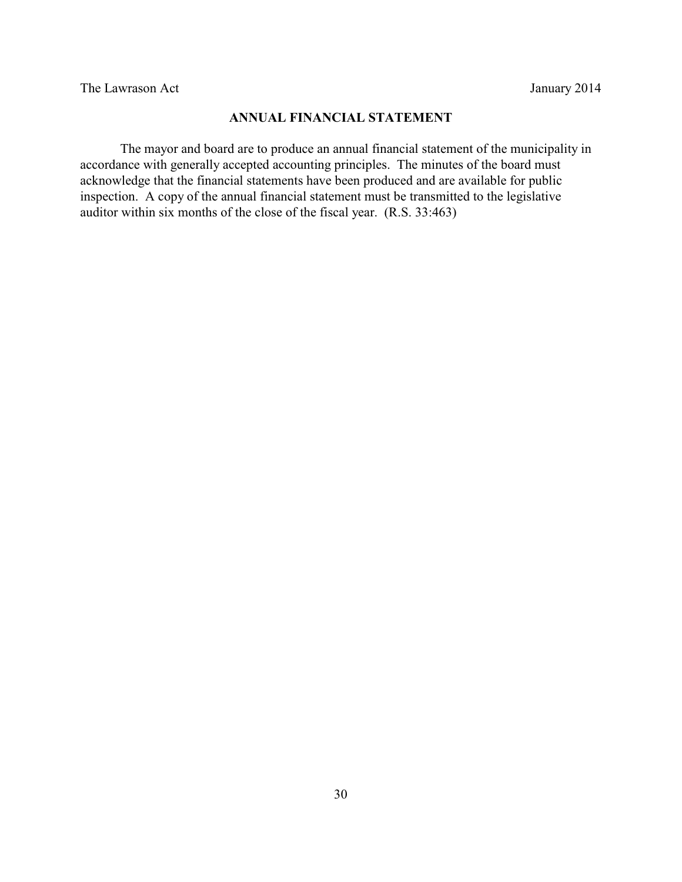# **ANNUAL FINANCIAL STATEMENT**

The mayor and board are to produce an annual financial statement of the municipality in accordance with generally accepted accounting principles. The minutes of the board must acknowledge that the financial statements have been produced and are available for public inspection. A copy of the annual financial statement must be transmitted to the legislative auditor within six months of the close of the fiscal year. (R.S. 33:463)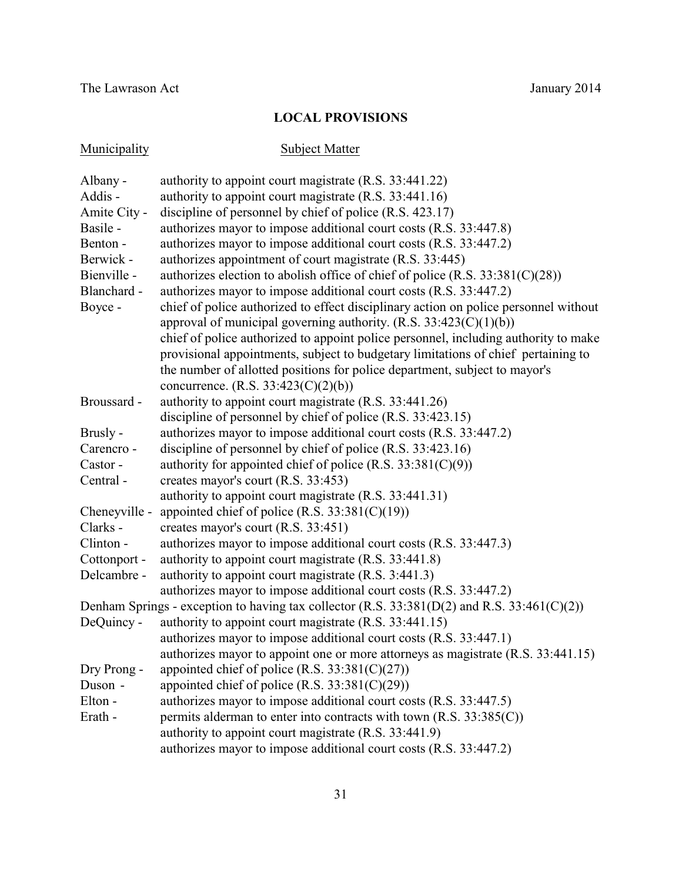# **LOCAL PROVISIONS**

| Municipality  | <b>Subject Matter</b>                                                                                                     |
|---------------|---------------------------------------------------------------------------------------------------------------------------|
| Albany -      | authority to appoint court magistrate (R.S. 33:441.22)                                                                    |
| Addis -       | authority to appoint court magistrate (R.S. 33:441.16)                                                                    |
| Amite City -  | discipline of personnel by chief of police (R.S. 423.17)                                                                  |
| Basile -      | authorizes mayor to impose additional court costs (R.S. 33:447.8)                                                         |
| Benton -      | authorizes mayor to impose additional court costs (R.S. 33:447.2)                                                         |
| Berwick -     | authorizes appointment of court magistrate (R.S. 33:445)                                                                  |
| Bienville -   | authorizes election to abolish office of chief of police $(R.S. 33:381(C)(28))$                                           |
| Blanchard -   | authorizes mayor to impose additional court costs (R.S. 33:447.2)                                                         |
| Boyce -       | chief of police authorized to effect disciplinary action on police personnel without                                      |
|               | approval of municipal governing authority. $(R.S. 33:423(C)(1)(b))$                                                       |
|               | chief of police authorized to appoint police personnel, including authority to make                                       |
|               | provisional appointments, subject to budgetary limitations of chief pertaining to                                         |
|               | the number of allotted positions for police department, subject to mayor's                                                |
|               | concurrence. $(R.S. 33:423(C)(2)(b))$                                                                                     |
| Broussard -   | authority to appoint court magistrate (R.S. 33:441.26)                                                                    |
|               | discipline of personnel by chief of police (R.S. 33:423.15)                                                               |
| Brusly -      | authorizes mayor to impose additional court costs (R.S. 33:447.2)                                                         |
| Carencro -    | discipline of personnel by chief of police (R.S. 33:423.16)                                                               |
| Castor -      | authority for appointed chief of police (R.S. $33:381(C)(9)$ )                                                            |
| Central -     | creates mayor's court (R.S. 33:453)                                                                                       |
|               | authority to appoint court magistrate (R.S. 33:441.31)                                                                    |
| Cheneyville - | appointed chief of police (R.S. $33:381(C)(19)$ )                                                                         |
| Clarks -      | creates mayor's court (R.S. 33:451)                                                                                       |
| Clinton -     | authorizes mayor to impose additional court costs (R.S. 33:447.3)                                                         |
| Cottonport -  | authority to appoint court magistrate (R.S. 33:441.8)                                                                     |
| Delcambre -   | authority to appoint court magistrate (R.S. 3:441.3)<br>authorizes mayor to impose additional court costs (R.S. 33:447.2) |
|               | Denham Springs - exception to having tax collector (R.S. $33:381(D(2)$ and R.S. $33:461(C)(2))$ )                         |
| DeQuincy -    | authority to appoint court magistrate (R.S. 33:441.15)                                                                    |
|               | authorizes mayor to impose additional court costs (R.S. 33:447.1)                                                         |
|               | authorizes mayor to appoint one or more attorneys as magistrate (R.S. 33:441.15)                                          |
| Dry Prong -   | appointed chief of police (R.S. $33:381(C)(27)$ )                                                                         |
| Duson -       | appointed chief of police (R.S. $33:381(C)(29)$ )                                                                         |
| Elton -       | authorizes mayor to impose additional court costs (R.S. 33:447.5)                                                         |
| Erath -       | permits alderman to enter into contracts with town (R.S. 33:385(C))                                                       |
|               | authority to appoint court magistrate (R.S. 33:441.9)                                                                     |
|               | authorizes mayor to impose additional court costs (R.S. 33:447.2)                                                         |
|               |                                                                                                                           |

31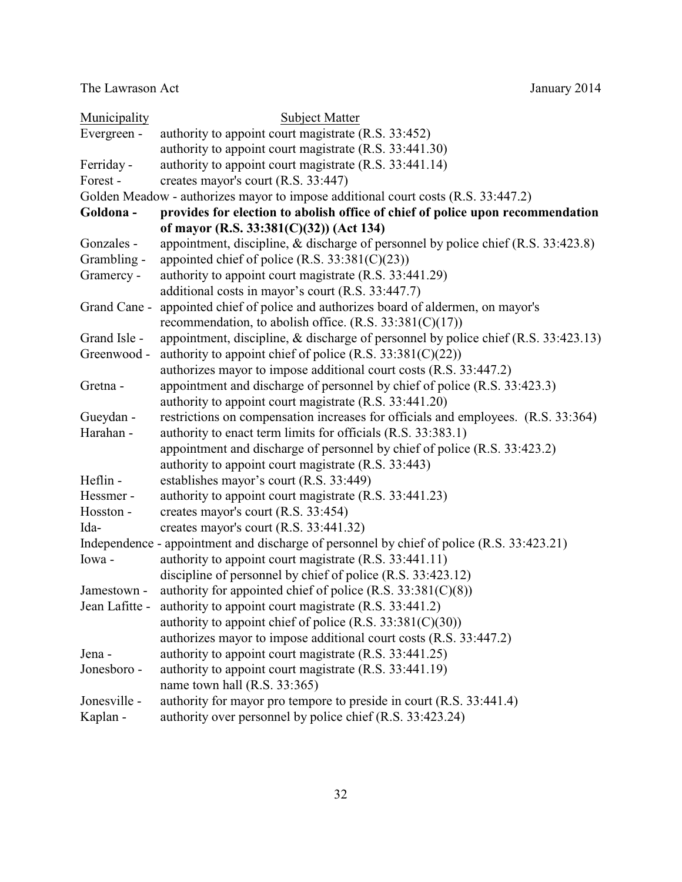| Municipality   | <b>Subject Matter</b>                                                                     |  |  |  |
|----------------|-------------------------------------------------------------------------------------------|--|--|--|
| Evergreen -    | authority to appoint court magistrate (R.S. 33:452)                                       |  |  |  |
|                | authority to appoint court magistrate (R.S. 33:441.30)                                    |  |  |  |
| Ferriday -     | authority to appoint court magistrate (R.S. 33:441.14)                                    |  |  |  |
| Forest-        | creates mayor's court (R.S. 33:447)                                                       |  |  |  |
|                | Golden Meadow - authorizes mayor to impose additional court costs (R.S. 33:447.2)         |  |  |  |
| Goldona-       | provides for election to abolish office of chief of police upon recommendation            |  |  |  |
|                | of mayor (R.S. 33:381(C)(32)) (Act 134)                                                   |  |  |  |
| Gonzales -     | appointment, discipline, & discharge of personnel by police chief (R.S. 33:423.8)         |  |  |  |
| Grambling -    | appointed chief of police (R.S. $33:381(C)(23)$ )                                         |  |  |  |
| Gramercy -     | authority to appoint court magistrate (R.S. 33:441.29)                                    |  |  |  |
|                | additional costs in mayor's court (R.S. 33:447.7)                                         |  |  |  |
| Grand Cane -   | appointed chief of police and authorizes board of aldermen, on mayor's                    |  |  |  |
|                | recommendation, to abolish office. $(R.S. 33:381(C)(17))$                                 |  |  |  |
| Grand Isle -   | appointment, discipline, & discharge of personnel by police chief (R.S. 33:423.13)        |  |  |  |
| Greenwood -    | authority to appoint chief of police (R.S. $33:381(C)(22)$ )                              |  |  |  |
|                | authorizes mayor to impose additional court costs (R.S. 33:447.2)                         |  |  |  |
| Gretna -       | appointment and discharge of personnel by chief of police (R.S. 33:423.3)                 |  |  |  |
|                | authority to appoint court magistrate (R.S. 33:441.20)                                    |  |  |  |
| Gueydan -      | restrictions on compensation increases for officials and employees. (R.S. 33:364)         |  |  |  |
| Harahan -      | authority to enact term limits for officials (R.S. 33:383.1)                              |  |  |  |
|                | appointment and discharge of personnel by chief of police (R.S. 33:423.2)                 |  |  |  |
|                | authority to appoint court magistrate (R.S. 33:443)                                       |  |  |  |
| Heflin -       | establishes mayor's court (R.S. 33:449)                                                   |  |  |  |
| Hessmer-       | authority to appoint court magistrate (R.S. 33:441.23)                                    |  |  |  |
| Hosston -      | creates mayor's court (R.S. 33:454)                                                       |  |  |  |
| Ida-           | creates mayor's court (R.S. 33:441.32)                                                    |  |  |  |
|                | Independence - appointment and discharge of personnel by chief of police (R.S. 33:423.21) |  |  |  |
| Iowa-          | authority to appoint court magistrate (R.S. 33:441.11)                                    |  |  |  |
|                | discipline of personnel by chief of police (R.S. 33:423.12)                               |  |  |  |
| Jamestown -    | authority for appointed chief of police (R.S. $33:381(C)(8)$ )                            |  |  |  |
| Jean Lafitte - | authority to appoint court magistrate (R.S. 33:441.2)                                     |  |  |  |
|                | authority to appoint chief of police (R.S. $33:381(C)(30)$ )                              |  |  |  |
|                | authorizes mayor to impose additional court costs (R.S. 33:447.2)                         |  |  |  |
| Jena -         | authority to appoint court magistrate (R.S. 33:441.25)                                    |  |  |  |
| Jonesboro -    | authority to appoint court magistrate (R.S. 33:441.19)                                    |  |  |  |
|                | name town hall (R.S. 33:365)                                                              |  |  |  |
| Jonesville -   | authority for mayor pro tempore to preside in court (R.S. 33:441.4)                       |  |  |  |
| Kaplan -       | authority over personnel by police chief (R.S. 33:423.24)                                 |  |  |  |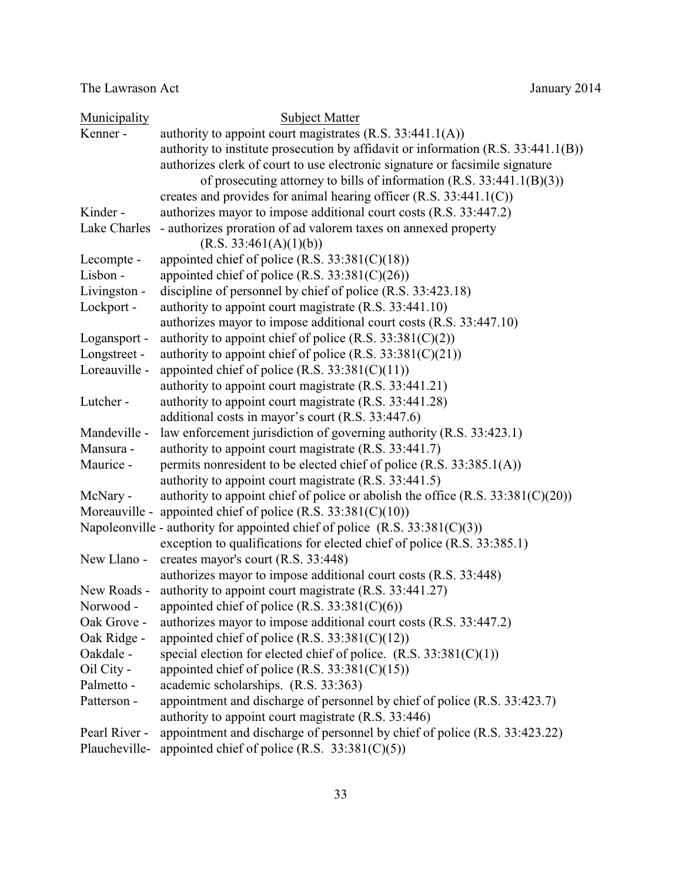| Municipality  | <b>Subject Matter</b>                                                             |
|---------------|-----------------------------------------------------------------------------------|
| Kenner -      | authority to appoint court magistrates (R.S. 33:441.1(A))                         |
|               | authority to institute prosecution by affidavit or information (R.S. 33:441.1(B)) |
|               | authorizes clerk of court to use electronic signature or facsimile signature      |
|               | of prosecuting attorney to bills of information $(R.S. 33:441.1(B)(3))$           |
|               | creates and provides for animal hearing officer $(R.S. 33:441.1(C))$              |
| Kinder-       | authorizes mayor to impose additional court costs (R.S. 33:447.2)                 |
| Lake Charles  | - authorizes proration of ad valorem taxes on annexed property                    |
|               | (R.S. 33:461(A)(1)(b))                                                            |
| Lecompte -    | appointed chief of police (R.S. $33:381(C)(18)$ )                                 |
| Lisbon -      | appointed chief of police (R.S. $33:381(C)(26)$ )                                 |
| Livingston -  | discipline of personnel by chief of police (R.S. 33:423.18)                       |
| Lockport -    | authority to appoint court magistrate (R.S. 33:441.10)                            |
|               | authorizes mayor to impose additional court costs (R.S. 33:447.10)                |
| Logansport -  | authority to appoint chief of police (R.S. $33:381(C)(2)$ )                       |
| Longstreet -  | authority to appoint chief of police (R.S. $33:381(C)(21)$ )                      |
| Loreauville - | appointed chief of police (R.S. $33:381(C)(11)$ )                                 |
|               | authority to appoint court magistrate (R.S. 33:441.21)                            |
| Lutcher-      | authority to appoint court magistrate (R.S. 33:441.28)                            |
|               | additional costs in mayor's court (R.S. 33:447.6)                                 |
| Mandeville -  | law enforcement jurisdiction of governing authority (R.S. 33:423.1)               |
| Mansura -     | authority to appoint court magistrate (R.S. 33:441.7)                             |
| Maurice -     | permits nonresident to be elected chief of police (R.S. 33:385.1(A))              |
|               | authority to appoint court magistrate (R.S. 33:441.5)                             |
| McNary -      | authority to appoint chief of police or abolish the office $(R.S. 33:381(C)(20))$ |
|               | Moreauville - appointed chief of police $(R.S. 33:381(C)(10))$                    |
|               | Napoleonville - authority for appointed chief of police $(R.S. 33:381(C)(3))$     |
|               | exception to qualifications for elected chief of police (R.S. 33:385.1)           |
| New Llano -   | creates mayor's court (R.S. 33:448)                                               |
|               | authorizes mayor to impose additional court costs (R.S. 33:448)                   |
| New Roads -   | authority to appoint court magistrate (R.S. 33:441.27)                            |
| Norwood -     | appointed chief of police $(R.S. 33:381(C)(6))$                                   |
| Oak Grove -   | authorizes mayor to impose additional court costs (R.S. 33:447.2)                 |
| Oak Ridge -   | appointed chief of police (R.S. $33:381(C)(12)$ )                                 |
| Oakdale -     | special election for elected chief of police. $(R.S. 33:381(C)(1))$               |
| Oil City -    | appointed chief of police (R.S. $33:381(C)(15)$ )                                 |
| Palmetto -    | academic scholarships. (R.S. 33:363)                                              |
| Patterson -   | appointment and discharge of personnel by chief of police (R.S. 33:423.7)         |
|               | authority to appoint court magistrate (R.S. 33:446)                               |
| Pearl River - | appointment and discharge of personnel by chief of police (R.S. 33:423.22)        |
| Plaucheville- | appointed chief of police (R.S. $33:381(C)(5)$ )                                  |